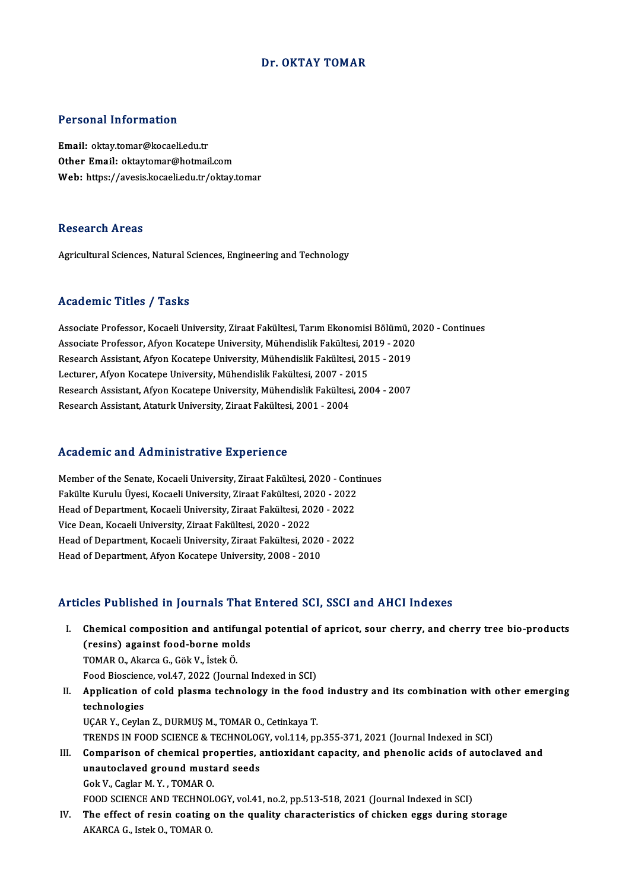#### Dr. OKTAY TOMAR

#### Personal Information

Email: oktay.tomar@kocaeli.edu.tr Other Email: oktaytomar@hotmail.com Web: https://avesis.kocaeli.edu.tr/oktay.tomar

#### Research Areas

Agricultural Sciences, Natural Sciences, Engineering and Technology

#### Academic Titles / Tasks

Academic Titles / Tasks<br>Associate Professor, Kocaeli University, Ziraat Fakültesi, Tarım Ekonomisi Bölümü, 2020 - Continues<br>Associate Professor, Afyan Kosatore University, Mühandislik Fakültesi, 2019, 2020 Associate Professor, Kocaeli University, Ziraat Fakültesi, Tarım Ekonomisi Bölümü, 2<br>Associate Professor, Afyon Kocatepe University, Mühendislik Fakültesi, 2019 - 2020<br>Pessarsh Assistant, Afyon Kosatepe University, Mühendi Associate Professor, Kocaeli University, Ziraat Fakültesi, Tarım Ekonomisi Bölümü, 2<br>Associate Professor, Afyon Kocatepe University, Mühendislik Fakültesi, 2019 - 2020<br>Research Assistant, Afyon Kocatepe University, Mühendi Associate Professor, Afyon Kocatepe University, Mühendislik Fakültesi, 20<br>Research Assistant, Afyon Kocatepe University, Mühendislik Fakültesi, 201<br>Lecturer, Afyon Kocatepe University, Mühendislik Fakültesi, 2007 - 2015<br>Re Research Assistant, Afyon Kocatepe University, Mühendislik Fakültesi, 2015 - 2019<br>Lecturer, Afyon Kocatepe University, Mühendislik Fakültesi, 2007 - 2015<br>Research Assistant, Afyon Kocatepe University, Mühendislik Fakültesi Lecturer, Afyon Kocatepe University, Mühendislik Fakültesi, 2007 - 2<br>Research Assistant, Afyon Kocatepe University, Mühendislik Fakültes<br>Research Assistant, Ataturk University, Ziraat Fakültesi, 2001 - 2004

#### Academic and Administrative Experience

Academic and Administrative Experience<br>Member of the Senate, Kocaeli University, Ziraat Fakültesi, 2020 - Continues<br>Fakülte Kurulu Ülvesi Kosaeli University, Ziraat Fakültesi, 2020 - 2022 Faculturus dina Framminion den C Enportonco<br>Member of the Senate, Kocaeli University, Ziraat Fakültesi, 2020 - Cont<br>Fakülte Kurulu Üyesi, Kocaeli University, Ziraat Fakültesi, 2020 - 2022<br>Heed of Depertment *Vocae*li Unive Member of the Senate, Kocaeli University, Ziraat Fakültesi, 2020 - Cont<br>Fakülte Kurulu Üyesi, Kocaeli University, Ziraat Fakültesi, 2020 - 2022<br>Head of Department, Kocaeli University, Ziraat Fakültesi, 2020 - 2022<br>Vise Dea Fakülte Kurulu Üyesi, Kocaeli University, Ziraat Fakültesi, 20<br>Head of Department, Kocaeli University, Ziraat Fakültesi, 20<br>Vice Dean, Kocaeli University, Ziraat Fakültesi, 2020 - 2022<br>Head of Department, Kocaeli Universit Head of Department, Kocaeli University, Ziraat Fakültesi, 2020 - 2022<br>Vice Dean, Kocaeli University, Ziraat Fakültesi, 2020 - 2022<br>Head of Department, Kocaeli University, Ziraat Fakültesi, 2020 - 2022<br>Head of Department, A Vice Dean, Kocaeli University, Ziraat Fakültesi, 2020 - 2022<br>Head of Department, Kocaeli University, Ziraat Fakültesi, 2020<br>Head of Department, Afyon Kocatepe University, 2008 - 2010

#### Articles Published in Journals That Entered SCI, SSCI and AHCI Indexes

- rticles Published in Journals That Entered SCI, SSCI and AHCI Indexes<br>I. Chemical composition and antifungal potential of apricot, sour cherry, and cherry tree bio-products<br>(neging) exainst food boune molds (resins) against food-bornemolds<br>(resins) against food-borne molds<br>TOMAR O. Akarsa C. Gâk V. İstak Ö. Chemical composition and antiful<br>(resins) against food-borne mol<br>TOMAR O., Akarca G., Gök V., İstek Ö.<br>Food Biossianse val 47,2022 (Journ (resins) against food-borne molds<br>TOMAR O., Akarca G., Gök V., İstek Ö.<br>Food Bioscience, vol.47, 2022 (Journal Indexed in SCI)<br>Annligation of sold plasma technology in the foo
- TOMAR O., Akarca G., Gök V., İstek Ö.<br>Food Bioscience, vol.47, 2022 (Journal Indexed in SCI)<br>II. Application of cold plasma technology in the food industry and its combination with other emerging<br>technologies Food Biosciene<br>Application of<br>**technologies**<br>UCAP Y. Coylor UÇAR Y., Ceylan Z., DURMUŞ M., TOMAR O., Cetinkaya T. technologies<br>UÇAR Y., Ceylan Z., DURMUŞ M., TOMAR O., Cetinkaya T.<br>TRENDS IN FOOD SCIENCE & TECHNOLOGY, vol.114, pp.355-371, 2021 (Journal Indexed in SCI)<br>Comparison of chamisal proporties, aptioxidant sepecity, and phapel III. Comparison of chemical properties, antioxidant capacity, and phenolic acids of autoclaved and
- TRENDS IN FOOD SCIENCE & TECHNOLOON<br>Comparison of chemical properties, a<br>unautoclaved ground mustard seeds unautoclaved ground mustard seeds<br>Gok V., Caglar M. Y., TOMAR O. FOOD SCIENCE AND TECHNOLOGY, vol.41, no.2, pp.513-518, 2021 (Journal Indexed in SCI) Gok V., Caglar M. Y. , TOMAR O.<br>FOOD SCIENCE AND TECHNOLOGY, vol.41, no.2, pp.513-518, 2021 (Journal Indexed in SCI)<br>IV. The effect of resin coating on the quality characteristics of chicken eggs during storage<br>AFARCA C. J
- FOOD SCIENCE AND TECHNO<mark>I</mark><br>The effect of resin coating<br>AKARCA G., Istek O., TOMAR O.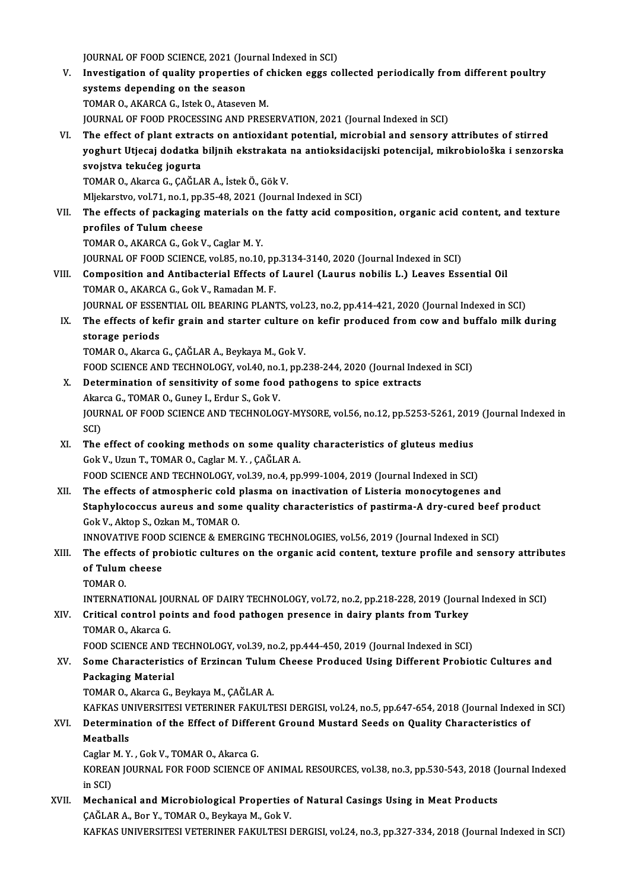JOURNAL OF FOOD SCIENCE, 2021 (Journal Indexed in SCI)<br>Investigation of quality proporties of chicken eggs as

V. Investigation of quality properties of chicken eggs collected periodically from different poultry<br>systems depending on the season JOURNAL OF FOOD SCIENCE, 2021 (Journal Investigation of quality properties<br>systems depending on the season<br>TOMAR Q AKARCA G Jatel: Q Ataeys TOMAR O., AKARCA G., Istek O., Ataseven M. JOURNAL OF FOOD PROCESSING AND PRESERVATION, 2021 (Journal Indexed in SCI) VI. The effect of plant extracts on antioxidant potential,microbial and sensory attributes of stirred JOURNAL OF FOOD PROCESSING AND PRESERVATION, 2021 (Journal Indexed in SCI)<br>The effect of plant extracts on antioxidant potential, microbial and sensory attributes of stirred<br>yoghurt Utjecaj dodatka biljnih ekstrakata na an The effect of plant extrac<br>yoghurt Utjecaj dodatka<br>svojstva tekućeg jogurta<br>TOMAR O. Akarsa G. GAČLA yoghurt Utjecaj dodatka biljnih ekstrakata<br>svojstva tekućeg jogurta<br>TOMAR 0., Akarca G., ÇAĞLAR A., İstek Ö., Gök V.<br>Mliekerstva vol 71 no 1 nn 25 48 2021 (Journa svojstva tekućeg jogurta<br>TOMAR O., Akarca G., ÇAĞLAR A., İstek Ö., Gök V.<br>Mljekarstvo, vol.71, no.1, pp.35-48, 2021 (Journal Indexed in SCI)<br>The effects of naskaging materials en the fatty asid semne TOMAR O., Akarca G., ÇAĞLAR A., İstek Ö., Gök V.<br>Mljekarstvo, vol.71, no.1, pp.35-48, 2021 (Journal Indexed in SCI)<br>VII. The effects of packaging materials on the fatty acid composition, organic acid content, and textu Mljekarstvo, vol.71, no.1, pp.<br>The effects of packaging<br>profiles of Tulum cheese<br>TOMAR O AKARCA C ColsN The effects of packaging materials on<br>profiles of Tulum cheese<br>TOMAR O., AKARCA G., Gok V., Caglar M. Y.<br>JOUPNAL OF FOOD SCIENCE vol 95, no 10 profiles of Tulum cheese<br>TOMAR O., AKARCA G., Gok V., Caglar M. Y.<br>JOURNAL OF FOOD SCIENCE, vol.85, no.10, pp.3134-3140, 2020 (Journal Indexed in SCI)<br>Composition and Antibasterial Effects of Laural (Laurus pobilis L.) Las

TOMAR O., AKARCA G., Gok V., Caglar M. Y.<br>JOURNAL OF FOOD SCIENCE, vol.85, no.10, pp.3134-3140, 2020 (Journal Indexed in SCI)<br>VIII. Composition and Antibacterial Effects of Laurel (Laurus nobilis L.) Leaves Essential Oil<br>T JOURNAL OF FOOD SCIENCE, vol.85, no.10, pp<br>Composition and Antibacterial Effects of<br>TOMAR O., AKARCA G., Gok V., Ramadan M. F.<br>JOURNAL OF ESSENTIAL OU, PEARING PLAN Composition and Antibacterial Effects of Laurel (Laurus nobilis L.) Leaves Essential Oil<br>TOMAR O., AKARCA G., Gok V., Ramadan M. F.<br>JOURNAL OF ESSENTIAL OIL BEARING PLANTS, vol.23, no.2, pp.414-421, 2020 (Journal Indexed i

IX. The effects of kefir grain and starter culture on kefir produced from cow and buffalo milk during storage periods **JOURNAL OF ESSE<br>The effects of ke<br>storage periods<br>TOMAP O Almres** 

TOMAR O., Akarca G., ÇAĞLAR A., Beykaya M., Gok V. FOOD SCIENCE AND TECHNOLOGY, vol.40, no.1, pp.238-244, 2020 (Journal Indexed in SCI)

#### X. Determination of sensitivity of some food pathogens to spice extracts FOOD SCIENCE AND TECHNOLOGY, vol.40, no.<br>Determination of sensitivity of some food<br>Akarca G., TOMAR O., Guney I., Erdur S., Gok V.<br>JOUPMAL OF FOOD SCIENCE AND TECHNOLOG Determination of sensitivity of some food pathogens to spice extracts<br>Akarca G., TOMAR O., Guney I., Erdur S., Gok V.<br>JOURNAL OF FOOD SCIENCE AND TECHNOLOGY-MYSORE, vol.56, no.12, pp.5253-5261, 2019 (Journal Indexed in<br>SCD Akar<br>JOUR<br>SCI)<br>The JOURNAL OF FOOD SCIENCE AND TECHNOLOGY-MYSORE, vol.56, no.12, pp.5253-5261, 2019<br>SCI)<br>XI. The effect of cooking methods on some quality characteristics of gluteus medius<br>Cok V. Haun T. TOMAR O. Coglan M. Y. CAČLAR A

- SCI)<br>XI. The effect of cooking methods on some quality characteristics of gluteus medius<br>Gok V., Uzun T., TOMAR O., Caglar M.Y., CAĞLAR A. FOOD SCIENCE AND TECHNOLOGY, vol.39, no.4, pp.999-1004, 2019 (Journal Indexed in SCI)
- Gok V., Uzun T., TOMAR O., Caglar M. Y., ÇAĞLAR A.<br>FOOD SCIENCE AND TECHNOLOGY, vol.39, no.4, pp.999-1004, 2019 (Journal Indexed in SCI)<br>XII. The effects of atmospheric cold plasma on inactivation of Listeria monocytogenes Staphylococcus aureus and some quality characteristics of pastirma-A dry-cured beef product Gok V., Aktop S., Ozkan M., TOMAR O. The effects of atmospheric cold <br>Staphylococcus aureus and some<br>Gok V., Aktop S., Ozkan M., TOMAR O.<br>INNOVATIVE FOOD SCIENCE & EMER Staphylococcus aureus and some quality characteristics of pastirma-A dry-cured beef<br>Gok V., Aktop S., Ozkan M., TOMAR O.<br>INNOVATIVE FOOD SCIENCE & EMERGING TECHNOLOGIES, vol.56, 2019 (Journal Indexed in SCI)<br>The effects of

### Gok V., Aktop S., Ozkan M., TOMAR O.<br>INNOVATIVE FOOD SCIENCE & EMERGING TECHNOLOGIES, vol.56, 2019 (Journal Indexed in SCI)<br>XIII. The effects of probiotic cultures on the organic acid content, texture profile and senso INNOVATIVE FOOD<br>The effects of pro<br>of Tulum cheese<br>TOMAR O The effec<br>of Tulum<br>TOMAR O.<br>INTERNAT of Tulum cheese<br>TOMAR 0.<br>INTERNATIONAL JOURNAL OF DAIRY TECHNOLOGY, vol.72, no.2, pp.218-228, 2019 (Journal Indexed in SCI)<br>Critical control points and food nathogen presence in doivy plants from Turkey.

## TOMAR O.<br>INTERNATIONAL JOURNAL OF DAIRY TECHNOLOGY, vol.72, no.2, pp.218-228, 2019 (Journ<br>XIV. Critical control points and food pathogen presence in dairy plants from Turkey<br>TOMAR O., Akarca G. INTERNATIONAL JOU<br>Critical control po<br>TOMAR O., Akarca G.<br>FOOD SCIENCE AND Critical control points and food pathogen presence in dairy plants from Turkey<br>TOMAR O., Akarca G.<br>FOOD SCIENCE AND TECHNOLOGY, vol.39, no.2, pp.444-450, 2019 (Journal Indexed in SCI)<br>Some Characteristics of Exgineer Tulum

## XV. Some Characteristics of Erzincan Tulum Cheese Produced Using Different Probiotic Cultures and<br>Packaging Material FOOD SCIENCE AND 1<br>Some Characteristi<br>Packaging Material<br>TOMAR O Alsree C Packaging Material<br>TOMAR O., Akarca G., Beykaya M., ÇAĞLAR A.<br>KAFKAS UNIVERSITESI VETERINER FAKULTESI DERGISI, vol.24, no.5, pp.647-654, 2018 (Journal Indexed in SCI)<br>Determination of the Effect of Different Cround Mustard

TOMAR O., Akarca G., Beykaya M., ÇAĞLAR A.

## TOMAR O., Akarca G., Beykaya M., ÇAĞLAR A.<br>KAFKAS UNIVERSITESI VETERINER FAKULTESI DERGISI, vol.24, no.5, pp.647-654, 2018 (Journal Indexed<br>XVI. Determination of the Effect of Different Ground Mustard Seeds on Quality KAFKAS UN<br>Determina<br>Meatballs<br>Caslan M. V Determination of the Effect of Differ<br>Meatballs<br>Caglar M.Y., Gok V., TOMAR O., Akarca G.<br>KOREAN JOURNAL FOR FOOD SCIENCE O

Meatballs<br>Caglar M. Y. , Gok V., TOMAR O., Akarca G.<br>KOREAN JOURNAL FOR FOOD SCIENCE OF ANIMAL RESOURCES, vol.38, no.3, pp.530-543, 2018 (Journal Indexed<br>in SCD Caglar<br>KOREA<br>in SCI)<br>Macha KOREAN JOURNAL FOR FOOD SCIENCE OF ANIMAL RESOURCES, vol.38, no.3, pp.530-543, 2018 (J<br>in SCI)<br>XVII. Mechanical and Microbiological Properties of Natural Casings Using in Meat Products

## in SCI)<br>Mechanical and Microbiological Properties of Natural Casings Using in Meat Products<br>ÇAĞLAR A., Bor Y., TOMAR O., Beykaya M., Gok V. KAFKAS UNIVERSITESI VETERINER FAKULTESI DERGISI, vol.24, no.3, pp.327-334, 2018 (Journal Indexed in SCI)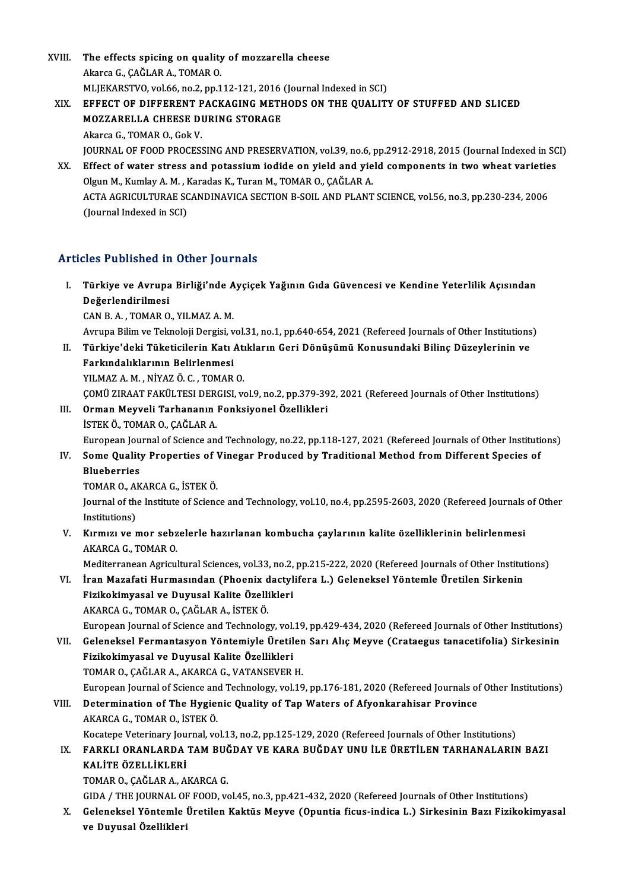XVIII. The effects spicing on quality of mozzarella cheese The effects spicing on quality<br>Akarca G., ÇAĞLAR A., TOMAR O.<br>MLIEKARSTVO vel 66 no 2 nn 1 Akarca G., ÇAĞLAR A., TOMAR O.<br>MLJEKARSTVO, vol.66, no.2, pp.112-121, 2016 (Journal Indexed in SCI) XIX. EFFECT OF DIFFERENT PACKAGING METHODS ON THE QUALITY OF STUFFED AND SLICED

### MLJEKARSTVO, vol.66, no.2, pp.112-121, 2016<br>EFFECT OF DIFFERENT PACKAGING METH<br>MOZZARELLA CHEESE DURING STORAGE<br>Akarea C. TOMAP O. Cak V. EFFECT OF DIFFERENT P<br>MOZZARELLA CHEESE DI<br>Akarca G., TOMAR O., Gok V.<br>JOUPNAL OF FOOD PROCESS MOZZARELLA CHEESE DURING STORAGE<br>Akarca G., TOMAR O., Gok V.<br>JOURNAL OF FOOD PROCESSING AND PRESERVATION, vol.39, no.6, pp.2912-2918, 2015 (Journal Indexed in SCI)<br>Effect of water stress and patassium iadide on wield and w Akarca G., TOMAR O., Gok V.<br>JOURNAL OF FOOD PROCESSING AND PRESERVATION, vol.39, no.6, pp.2912-2918, 2015 (Journal Indexed in SC<br>XX. Effect of water stress and potassium iodide on yield and yield components in two wheat va

JOURNAL OF FOOD PROCESSING AND PRESERVATION, vol.39, no.6, J<br>Effect of water stress and potassium iodide on yield and yie<br>Olgun M., Kumlay A.M., Karadas K., Turan M., TOMAR O., ÇAĞLAR A.<br>ACTA ACRICULTURAE SCANDINAVICA SECT Effect of water stress and potassium iodide on yield and yield components in two wheat varietie<br>Olgun M., Kumlay A. M. , Karadas K., Turan M., TOMAR O., ÇAĞLAR A.<br>ACTA AGRICULTURAE SCANDINAVICA SECTION B-SOIL AND PLANT SCI Olgun M., Kumlay A. M. , Karadas K., Turan M., TOMAR O., ÇAĞLAR A.<br>ACTA AGRICULTURAE SCANDINAVICA SECTION B-SOIL AND PLANT SCIENCE, vol.56, no.3, pp.230-234, 2006<br>(Journal Indexed in SCI)

#### Articles Published in Other Journals

rticles Published in Other Journals<br>I. Türkiye ve Avrupa Birliği'nde Ayçiçek Yağının Gıda Güvencesi ve Kendine Yeterlilik Açısından<br>Reğerlendirilmesi Değerlendirilmesi<br>CAN B.A., TOMAR O., YILMAZ A.M. Türkiye ve Avrupa Birliği'nde A<br>Değerlendirilmesi<br>CAN B. A. , TOMAR O., YILMAZ A. M.<br>Armuna Bilim ve Telmelaji Dengisi y

Avrupa Bilim ve Teknoloji Dergisi, vol.31, no.1, pp.640-654, 2021 (Refereed Journals of Other Institutions)

- CAN B. A. , TOMAR O., YILMAZ A. M.<br>Avrupa Bilim ve Teknoloji Dergisi, vol.31, no.1, pp.640-654, 2021 (Refereed Journals of Other Institutions<br>II. Türkiye'deki Tüketicilerin Katı Atıkların Geri Dönüşümü Konusundaki Bili Avrupa Bilim ve Teknoloji Dergisi, v<br>Türkiye'deki Tüketicilerin Katı<br>Farkındalıklarının Belirlenmesi<br>YU MAZ A MANİYAZÖ CATOMAR Farkındalıklarının Belirlenmesi<br>YILMAZ A.M., NİYAZ Ö.C., TOMAR O. Farkındalıklarının Belirlenmesi<br>YILMAZ A. M. , NİYAZ Ö. C. , TOMAR O.<br>ÇOMÜ ZIRAAT FAKÜLTESI DERGISI, vol.9, no.2, pp.379-392, 2021 (Refereed Journals of Other Institutions)<br>Orman Mawyeli Tarbananın Fonksiyonal Özellikleri
- III. Orman Meyveli Tarhananın Fonksiyonel Özellikleri<br>İSTEK Ö., TOMAR O., ÇAĞLAR A. ÇOMÜ ZIRAAT FAKÜLTESI DER<br>Orman Meyveli Tarhananın<br>İSTEK Ö., TOMAR O., ÇAĞLAR A.<br>Euronean Journal of Science an Orman Meyveli Tarhananın Fonksiyonel Özellikleri<br>İSTEK Ö., TOMAR O., ÇAĞLAR A.<br>European Journal of Science and Technology, no.22, pp.118-127, 2021 (Refereed Journals of Other Institutions)<br>Seme Quality Preperties of Vinese ISTEK Ö., TOMAR O., ÇAĞLAR A.<br>European Journal of Science and Technology, no.22, pp.118-127, 2021 (Refereed Journals of Other Institution.<br>IV. Some Quality Properties of Vinegar Produced by Traditional Method from Differen
- European Jou<br>Some Qualit<br>Blueberries<br>TOMAR O AK Some Quality Properties of <mark>V<br>Blueberries</mark><br>TOMAR O., AKARCA G., İSTEK Ö.<br>Journal of the Institute of Scienc

Blueberries<br>TOMAR O., AKARCA G., İSTEK Ö.<br>Journal of the Institute of Science and Technology, vol.10, no.4, pp.2595-2603, 2020 (Refereed Journals of Other TOMAR O., Al<br>Journal of the<br>Institutions)<br>Kumur vo Journal of the Institute of Science and Technology, vol.10, no.4, pp.2595-2603, 2020 (Refereed Journals<br>Institutions)<br>V. Kırmızı ve mor sebzelerle hazırlanan kombucha çaylarının kalite özelliklerinin belirlenmesi<br>AKAPCA G.

Institutions)<br>V. Kırmızı ve mor sebzelerle hazırlanan kombucha çaylarının kalite özelliklerinin belirlenmesi<br>AKARCA G., TOMAR O.

Mediterranean Agricultural Sciences, vol.33, no.2, pp.215-222, 2020 (Refereed Journals of Other Institutions)

AKARCA G., TOMAR O.<br>Mediterranean Agricultural Sciences, vol.33, no.2, pp.215-222, 2020 (Refereed Journals of Other Institut<br>VI. İran Mazafati Hurmasından (Phoenix dactylifera L.) Geleneksel Yöntemle Üretilen Sirkenin<br>Firi Mediterranean Agricultural Sciences, vol.33, no.2,<br>İran Mazafati Hurmasından (Phoenix dactyl<br>Fizikokimyasal ve Duyusal Kalite Özellikleri<br>AKABCA G. TOMAR O. GAČLAR A. İSTEKÖ İran Mazafati Hurmasından (Phoenix d<br>Fizikokimyasal ve Duyusal Kalite Özelli<br>AKARCA G., TOMAR O., ÇAĞLAR A., İSTEK Ö.<br>Furonean Journal of Science and Technolog Fizikokimyasal ve Duyusal Kalite Özellikleri<br>AKARCA G., TOMAR O., ÇAĞLAR A., İSTEK Ö.<br>European Journal of Science and Technology, vol.19, pp.429-434, 2020 (Refereed Journals of Other Institutions) AKARCA G., TOMAR O., ÇAĞLAR A., İSTEK Ö.<br>European Journal of Science and Technology, vol.19, pp.429-434, 2020 (Refereed Journals of Other Institutions)<br>VII. Geleneksel Fermantasyon Yöntemiyle Üretilen Sarı Alıç Meyve (Crat

European Journal of Science and Technology, vol.<br>Geleneksel Fermantasyon Yöntemiyle Üretil<br>Fizikokimyasal ve Duyusal Kalite Özellikleri<br>TOMAR O. CAČLAR A. AKARCA C. VATANSEVER Geleneksel Fermantasyon Yöntemiyle Üretilen<br>Fizikokimyasal ve Duyusal Kalite Özellikleri<br>TOMAR O., ÇAĞLAR A., AKARCA G., VATANSEVER H.<br>European Journal of Scionee and Technology vol 19 Fizikokimyasal ve Duyusal Kalite Özellikleri<br>TOMAR O., ÇAĞLAR A., AKARCA G., VATANSEVER H.<br>European Journal of Science and Technology, vol.19, pp.176-181, 2020 (Refereed Journals of Other Institutions)

### TOMAR O., ÇAĞLAR A., AKARCA G., VATANSEVER H.<br>European Journal of Science and Technology, vol.19, pp.176-181, 2020 (Refereed Journals of<br>VIII. Determination of The Hygienic Quality of Tap Waters of Afyonkarahisar Province<br> European Journal of Science an<br>Determination of The Hygie:<br>AKARCA G., TOMAR O., İSTEK Ö.<br>Kosatane Veterinary Journal ve AKARCA G., TOMAR O., İSTEK Ö.<br>Kocatepe Veterinary Journal, vol.13, no.2, pp.125-129, 2020 (Refereed Journals of Other Institutions)

### AKARCA G., TOMAR O., İSTEK Ö.<br>IX. FARKLI ORANLARDA TAM BUĞDAY VE KARA BUĞDAY UNU İLE ÜRETİLEN TARHANALARIN BAZI<br>IX. FARKLI ORANLARDA TAM BUĞDAY VE KARA BUĞDAY UNU İLE ÜRETİLEN TARHANALARIN BAZI Kocatepe Veterinary Jou<br>FARKLI ORANLARDA<br>KALİTE ÖZELLİKLERİ<br>TOMAR O-CAČLAR A-A FARKLI ORANLARDA TAM BUČ<br>KALİTE ÖZELLİKLERİ<br>TOMAR O., ÇAĞLAR A., AKARCA G.<br>CIDA / THE JOUPNAL OF FOOD. 177 KALİTE ÖZELLİKLERİ<br>TOMAR O., ÇAĞLAR A., AKARCA G.<br>GIDA / THE JOURNAL OF FOOD, vol.45, no.3, pp.421-432, 2020 (Refereed Journals of Other Institutions)<br>Celeneksel Yöntemle Ünstilen Keltüs Meyye (Onuntia fiave indice L.) Sin

TOMAR O., ÇAĞLAR A., AKARCA G.<br>GIDA / THE JOURNAL OF FOOD, vol.45, no.3, pp.421-432, 2020 (Refereed Journals of Other Institutions)<br>X. Geleneksel Yöntemle Üretilen Kaktüs Meyve (Opuntia ficus-indica L.) Sirkesinin Bazı Fiz GIDA / THE JOURNAL OI<br>Geleneksel Yöntemle<br>ve Duyusal Özellikleri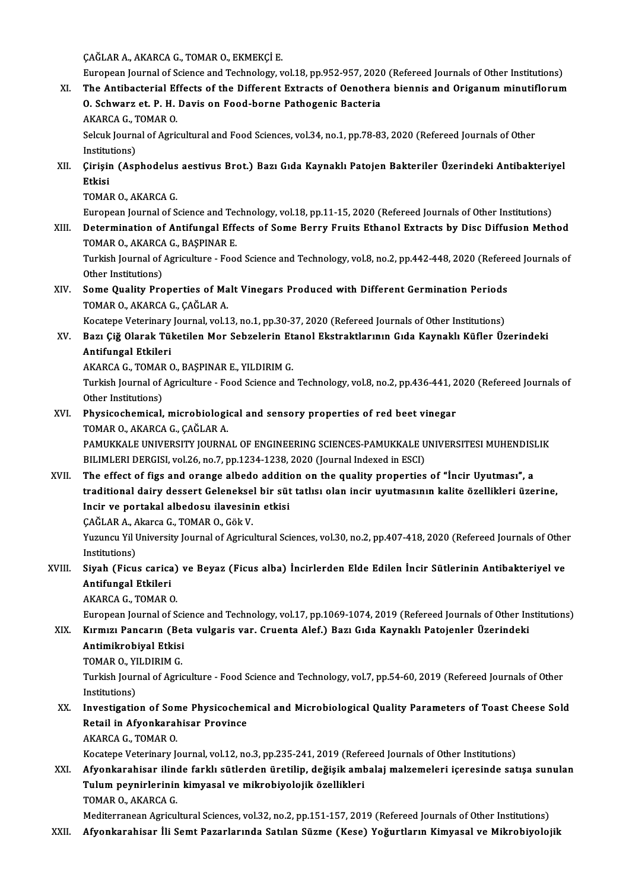ÇAĞLARA.,AKARCAG.,TOMARO.,EKMEKÇİE.

CAĞLAR A., AKARCA G., TOMAR O., EKMEKÇİ E.<br>European Journal of Science and Technology, vol.18, pp.952-957, 2020 (Refereed Journals of Other Institutions)<br>The Antibasterial Effects of the Different Extrasts of Oenothere bio

CAĞLAR A., AKARCA G., TOMAR O., EKMEKÇİ E.<br>European Journal of Science and Technology, vol.18, pp.952-957, 2020 (Refereed Journals of Other Institutions)<br>XI. The Antibacterial Effects of the Different Extracts of Oenothera European Journal of Science and Technology, vol.18, pp.952-957, 2020<br>The Antibacterial Effects of the Different Extracts of Oenother<br>O. Schwarz et. P. H. Davis on Food-borne Pathogenic Bacteria<br>AKARCA G. TOMAR O. The Antibacterial Effects of the Different Extracts of Oenothera biennis and Origanum minutiflorum<br>O. Schwarz et. P. H. Davis on Food-borne Pathogenic Bacteria

AKARCA G., TOMAR O.

Selcuk Journal of Agricultural and Food Sciences, vol.34, no.1, pp.78-83, 2020 (Refereed Journals of Other Institutions) Selcuk Journal of Agricultural and Food Sciences, vol.34, no.1, pp.78-83, 2020 (Refereed Journals of Other<br>Institutions)<br>XII. Çirişin (Asphodelus aestivus Brot.) Bazı Gıda Kaynaklı Patojen Bakteriler Üzerindeki Antibak

- Institu<br><mark>Çirişii</mark><br>Etkisi<br>TOMAI Çirişin (Asphodelus<br>Etkisi<br>TOMAR O., AKARCA G.<br>European Journal of S Etkisi<br>TOMAR O., AKARCA G.<br>European Journal of Science and Technology, vol.18, pp.11-15, 2020 (Refereed Journals of Other Institutions)<br>Determination of Antifungal Effects of Some Bonny Enuits Ethanol Extracts by Disc Diff
	-

TOMAR O., AKARCA G.<br>European Journal of Science and Technology, vol.18, pp.11-15, 2020 (Refereed Journals of Other Institutions)<br>XIII. Determination of Antifungal Effects of Some Berry Fruits Ethanol Extracts by Disc Diffu European Journal of Science and Teo<br>Determination of Antifungal Effe<br>TOMAR O., AKARCA G., BAŞPINAR E.<br>Turkish Journal of Asrigulture - Esse Determination of Antifungal Effects of Some Berry Fruits Ethanol Extracts by Disc Diffusion Method<br>TOMAR O., AKARCA G., BAŞPINAR E.<br>Turkish Journal of Agriculture - Food Science and Technology, vol.8, no.2, pp.442-448, 202

TOMAR O., AKARCA<br>Turkish Journal of<br>Other Institutions)<br>Sama Quality Bro Turkish Journal of Agriculture - Food Science and Technology, vol.8, no.2, pp.442-448, 2020 (Refere<br>Other Institutions)<br>XIV. Some Quality Properties of Malt Vinegars Produced with Different Germination Periods<br>TOMAR O. AKA

Other Institutions)<br>XIV. Some Quality Properties of Malt Vinegars Produced with Different Germination Periods<br>TOMAR O., AKARCA G., ÇAĞLAR A. Some Quality Properties of Malt Vinegars Produced with Different Germination Periods<br>TOMAR O., AKARCA G., ÇAĞLAR A.<br>Kocatepe Veterinary Journal, vol.13, no.1, pp.30-37, 2020 (Refereed Journals of Other Institutions)<br>Por: G

TOMAR O., AKARCA G., ÇAĞLAR A.<br>Kocatepe Veterinary Journal, vol.13, no.1, pp.30-37, 2020 (Refereed Journals of Other Institutions)<br>XV. Bazı Çiğ Olarak Tüketilen Mor Sebzelerin Etanol Ekstraktlarının Gıda Kaynaklı Küfle Kocatepe Veterinary<br>Bazı Çiğ Olarak Tül<br>Antifungal Etkileri<br>AKARCA C. TOMAR G Bazı Çiğ Olarak Tüketilen Mor Sebzelerin Et<br>Antifungal Etkileri<br>AKARCA G., TOMAR O., BAŞPINAR E., YILDIRIM G.<br>Turkich Journal of Agriculture. Food Science and

AKARCA G., TOMAR O., BAŞPINAR E., YILDIRIM G.

Antifungal Etkileri<br>AKARCA G., TOMAR O., BAŞPINAR E., YILDIRIM G.<br>Turkish Journal of Agriculture - Food Science and Technology, vol.8, no.2, pp.436-441, 2020 (Refereed Journals of<br>Other Institutions) Turkish Journal of Agriculture - Food Science and Technology, vol.8, no.2, pp.436-441, 2<br>Other Institutions)<br>XVI. Physicochemical, microbiological and sensory properties of red beet vinegar<br>TOMAR O AKARCA C CAČLAR A

Other Institutions)<br>Physicochemical, microbiologi<br>TOMAR O., AKARCA G., ÇAĞLAR A.<br>PAMIKKALE UNIVERSITY IOURNA Physicochemical, microbiological and sensory properties of red beet vinegar<br>TOMAR O., AKARCA G., ÇAĞLAR A.<br>PAMUKKALE UNIVERSITY JOURNAL OF ENGINEERING SCIENCES-PAMUKKALE UNIVERSITESI MUHENDISLIK<br>PILIMI EPLDERCISL VOL26, no

TOMAR O., AKARCA G., ÇAĞLAR A.<br>PAMUKKALE UNIVERSITY JOURNAL OF ENGINEERING SCIENCES-PAMUKKALE U<br>BILIMLERI DERGISI, vol.26, no.7, pp.1234-1238, 2020 (Journal Indexed in ESCI)<br>The effect of fire and arange albede addition on BILIMLERI DERGISI, vol.26, no.7, pp.1234-1238, 2020 (Journal Indexed in ESCI)<br>XVII. The effect of figs and orange albedo addition on the quality properties of "Incir Uyutması", a

BILIMLERI DERGISI, vol.26, no.7, pp.1234-1238, 2020 (Journal Indexed in ESCI)<br>The effect of figs and orange albedo addition on the quality properties of "İncir Uyutması", a<br>traditional dairy dessert Geleneksel bir süt tatl The effect of figs and orange albedo addition<br>traditional dairy dessert Geleneksel bir süt<br>Incir ve portakal albedosu ilavesinin etkisi<br>CAČLAR A. Akang G. TOMAR O. Gäk V traditional dairy dessert Gelenekse<br>Incir ve portakal albedosu ilavesini<br>ÇAĞLAR A., Akarca G., TOMAR O., Gök V.<br>Yuzungu Vil University Journal of Agrigu

Incir ve portakal albedosu ilavesinin etkisi<br>ÇAĞLAR A., Akarca G., TOMAR O., Gök V.<br>Yuzuncu Yil University Journal of Agricultural Sciences, vol.30, no.2, pp.407-418, 2020 (Refereed Journals of Other CAĞLAR A., A.<br>Yuzuncu Yil I<br>Institutions)<br>Siveh (Figu Yuzuncu Yil University Journal of Agricultural Sciences, vol.30, no.2, pp.407-418, 2020 (Refereed Journals of Othe<br>Institutions)<br>Antifungal Ethilari

#### Institutions)<br>Siyah (Ficus carica<br>Antifungal Etkileri<br>AKABCA C. TOMAB C Siyah (Ficus carica)<br>Antifungal Etkileri<br>AKARCA G., TOMAR O.<br>Euronean Iournal of S Antifungal Etkileri<br>AKARCA G., TOMAR O.<br>European Journal of Science and Technology, vol.17, pp.1069-1074, 2019 (Refereed Journals of Other Institutions)

## AKARCA G., TOMAR O.<br>European Journal of Science and Technology, vol.17, pp.1069-1074, 2019 (Refereed Journals of Other In<br>XIX. Kırmızı Pancarın (Beta vulgaris var. Cruenta Alef.) Bazı Gıda Kaynaklı Patojenler Üzerindek European Journal of Sci<br>Kırmızı Pancarın (Bet<br>Antimikrobiyal Etkisi<br>TOMAR O, YU DIRIM C Kırmızı Pancarın (Be<br>Antimikrobiyal Etkisi<br>TOMAR O., YILDIRIM G.<br>Turkish Journal of Agri

Antimikrobiyal Etkisi<br>TOMAR O., YILDIRIM G.<br>Turkish Journal of Agriculture - Food Science and Technology, vol.7, pp.54-60, 2019 (Refereed Journals of Other TOMAR O., YI<br>Turkish Journ<br>Institutions)<br>Investisatio Turkish Journal of Agriculture - Food Science and Technology, vol.7, pp.54-60, 2019 (Refereed Journals of Other<br>Institutions)<br>XX. Investigation of Some Physicochemical and Microbiological Quality Parameters of Toast Cheese

### Institutions)<br>Investigation of Some Physicochen<br>Retail in Afyonkarahisar Province<br>AKABCA C. TOMAB O Investigation of Son<br>Retail in Afyonkaral<br>AKARCA G., TOMAR O.<br>Kosatana Vetarinary I. Retail in Afyonkarahisar Province<br>AKARCA G., TOMAR O.<br>Kocatepe Veterinary Journal, vol.12, no.3, pp.235-241, 2019 (Refereed Journals of Other Institutions)

XXI. Afyonkarahisar ilinde farklı sütlerden üretilip, değişik ambalaj malzemeleri içeresinde satışa sunulan Kocatepe Veterinary Journal, vol.12, no.3, pp.235-241, 2019 (Refe:<br>Afyonkarahisar ilinde farklı sütlerden üretilip, değişik aml<br>Tulum peynirlerinin kimyasal ve mikrobiyolojik özellikleri<br>TOMAR O. AKARCA C Afyonkarahisar ilin<mark>e</mark><br>Tulum peynirlerinin<br>TOMAR O., AKARCA G.<br>Mediterranean Agricul Tulum peynirlerinin kimyasal ve mikrobiyolojik özellikleri<br>TOMAR O., AKARCA G.<br>Mediterranean Agricultural Sciences, vol.32, no.2, pp.151-157, 2019 (Refereed Journals of Other Institutions)<br>Afvonkanabisan İli Samt Bagarları

TOMAR O., AKARCA G.<br>Mediterranean Agricultural Sciences, vol.32, no.2, pp.151-157, 2019 (Refereed Journals of Other Institutions)<br>XXII. Afyonkarahisar İli Semt Pazarlarında Satılan Süzme (Kese) Yoğurtların Kimyasal ve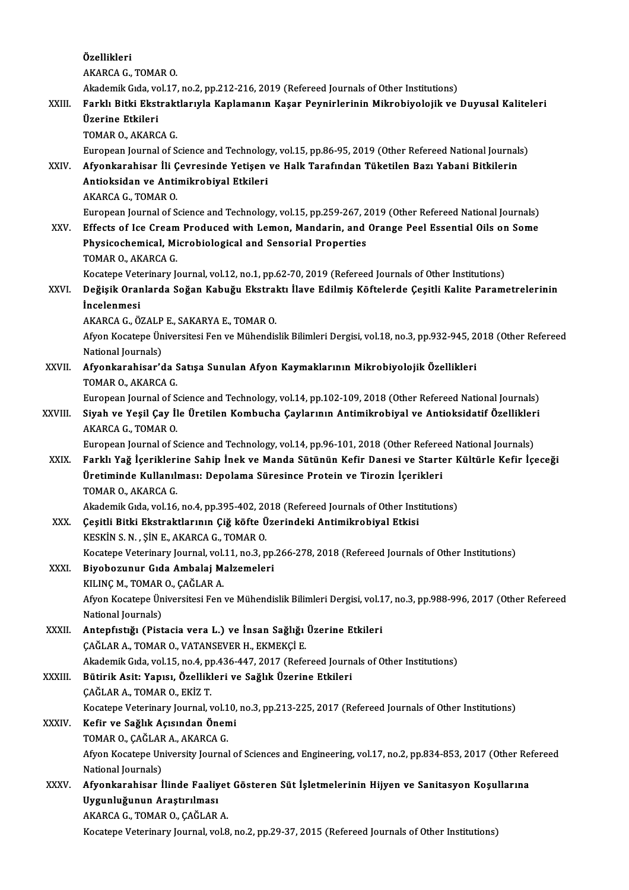Özel ikleri AKARCAG.,TOMARO. Akademik Gıda, vol.17, no.2, pp.212-216, 2019 (Refereed Journals of Other Institutions) AKARCA G., TOMAR O.<br>Akademik Gıda, vol.17, no.2, pp.212-216, 2019 (Refereed Journals of Other Institutions)<br>XXIII. Farklı Bitki Ekstraktlarıyla Kaplamanın Kaşar Peynirlerinin Mikrobiyolojik ve Duyusal Kaliteleri<br>İlzeri Akademik Gıda, v<mark>c</mark><br>Farklı Bitki Ekst<br>Üzerine Etkileri<br>TOMAP O AKAPC Üzerine Etkileri<br>TOMAR O., AKARCA G. Üzerine Etkileri<br>TOMAR O., AKARCA G.<br>European Journal of Science and Technology, vol.15, pp.86-95, 2019 (Other Refereed National Journals)<br>Afvonkarabisar Ili Courosinde Vatisan vo Halk Tarafından Tüketilen Barı Yabani Bitk TOMAR O., AKARCA G.<br>European Journal of Science and Technology, vol.15, pp.86-95, 2019 (Other Refereed National Journal<br>XXIV. Afyonkarahisar İli Çevresinde Yetişen ve Halk Tarafından Tüketilen Bazı Yabani Bitkilerin<br>An European Journal of Science and Technolog<br>Afyonkarahisar İli Çevresinde Yetişen<br>Antioksidan ve Antimikrobiyal Etkileri<br>AKAPCA C. TOMAR O Afyonkarahisar İli Çevresinde Yetişen ve Halk Tarafından Tüketilen Bazı Yabani Bitkilerin<br>Antioksidan ve Antimikrobiyal Etkileri<br>AKARCA G., TOMAR O. Antioksidan ve Antimikrobiyal Etkileri<br>AKARCA G., TOMAR O.<br>European Journal of Science and Technology, vol.15, pp.259-267, 2019 (Other Refereed National Journals)<br>Effects of Ise Creem Brodused with Leman, Mandarin, and Ora XXV. Effects of Ice Cream Produced with Lemon, Mandarin, and Orange Peel Essential Oils on Some<br>Physicochemical, Microbiological and Sensorial Properties European Journal of Science and Technology, vol.15, pp.259-267, 2<br>Effects of Ice Cream Produced with Lemon, Mandarin, and<br>Physicochemical, Microbiological and Sensorial Properties<br>TOMAR O. AKARCA C TOMAR O., AKARCA G. Physicochemical, Microbiological and Sensorial Properties<br>TOMAR O., AKARCA G.<br>Kocatepe Veterinary Journal, vol.12, no.1, pp.62-70, 2019 (Refereed Journals of Other Institutions)<br>Doğisik Oranlarda Soğan Kabuğu Ekstraktı İla TOMAR O., AKARCA G.<br>Kocatepe Veterinary Journal, vol.12, no.1, pp.62-70, 2019 (Refereed Journals of Other Institutions)<br>XXVI. Değişik Oranlarda Soğan Kabuğu Ekstraktı İlave Edilmiş Köftelerde Çeşitli Kalite Parametrele Kocatepe Vete<br>De<mark>ğişik Orar</mark><br>İncelenmesi Değişik Oranlarda Soğan Kabuğu Ekstral<br>İncelenmesi<br>AKARCA G., ÖZALP E., SAKARYA E., TOMAR O.<br>Afran Kasatana Üniversitesi Fan ve Mühandis **İncelenmesi**<br>AKARCA G., ÖZALP E., SAKARYA E., TOMAR O.<br>Afyon Kocatepe Üniversitesi Fen ve Mühendislik Bilimleri Dergisi, vol.18, no.3, pp.932-945, 2018 (Other Refereed National Journals) Afyon Kocatepe Üniversitesi Fen ve Mühendislik Bilimleri Dergisi, vol.18, no.3, pp.932-945, 2<br>National Journals)<br>XXVII. Afyonkarahisar'da Satışa Sunulan Afyon Kaymaklarının Mikrobiyolojik Özellikleri<br>TOMAR O AKARCA C National Journals)<br>Afyonkarahisar'da S<br>TOMAR O., AKARCA G.<br>Euronean Journal of S Afyonkarahisar'da Satışa Sunulan Afyon Kaymaklarının Mikrobiyolojik Özellikleri<br>TOMAR O., AKARCA G.<br>European Journal of Science and Technology, vol.14, pp.102-109, 2018 (Other Refereed National Journals)<br>Siyah vo Yosil Cay TOMAR O., AKARCA G.<br>European Journal of Science and Technology, vol.14, pp.102-109, 2018 (Other Refereed National Journals)<br>XXVIII. Siyah ve Yeşil Çay İle Üretilen Kombucha Çaylarının Antimikrobiyal ve Antioksidatif Özelli European Journal of S<br>Siyah ve Yeşil Çay İl<br>AKARCA G., TOMAR O.<br>European Journal of S Siyah ve Yeşil Çay İle Üretilen Kombucha Çaylarının Antimikrobiyal ve Antioksidatif Özellikler<br>AKARCA G., TOMAR O.<br>European Journal of Science and Technology, vol.14, pp.96-101, 2018 (Other Refereed National Journals)<br>Fark AKARCA G., TOMAR O.<br>European Journal of Science and Technology, vol.14, pp.96-101, 2018 (Other Refereed National Journals)<br>XXIX. Farklı Yağ İçeriklerine Sahip İnek ve Manda Sütünün Kefir Danesi ve Starter Kültürle Kefir European Journal of Science and Technology, vol.14, pp.96-101, 2018 (Other Refereed National Journals)<br>Farklı Yağ İçeriklerine Sahip İnek ve Manda Sütünün Kefir Danesi ve Starter Kültürle Kefir İç<br>Üretiminde Kullanılması: Farklı Yağ İçerikleri<br>Üretiminde Kullanılı<br>TOMAR O., AKARCA G.<br>Akademik Cıda yal 16 Üretiminde Kullanılması: Depolama Süresince Protein ve Tirozin İçerikleri<br>TOMAR O., AKARCA G.<br>Akademik Gıda, vol.16, no.4, pp.395-402, 2018 (Refereed Journals of Other Institutions)<br>Cositli Bitki Ekstraktlarının Giğ köfte XXX. Çeşitli Bitki Ekstraktlarının Çiğ köfte Üzerindeki Antimikrobiyal Etkisi Akademik Gıda, vol.16, no.4, pp.395-402, 20<br>Çeşitli Bitki Ekstraktlarının Çiğ köfte Ü<br>KESKİN S. N. , ŞİN E., AKARCA G., TOMAR O.<br>Kestana Veterinary Jaurnal vol.11, no.2, n Çeşitli Bitki Ekstraktlarının Çiğ köfte Üzerindeki Antimikrobiyal Etkisi<br>KESKİN S. N. , ŞİN E., AKARCA G., TOMAR O.<br>Kocatepe Veterinary Journal, vol.11, no.3, pp.266-278, 2018 (Refereed Journals of Other Institutions)<br>Biyo KESKİN S. N., ŞİN E., AKARCA G., TOMAR O.<br>Kocatepe Veterinary Journal, vol.11, no.3, pp.<br>XXXI. Biyobozunur Gıda Ambalaj Malzemeleri Kocatepe Veterinary Journal, vol.<br>Biyobozunur Gıda Ambalaj M:<br>KILINÇ M., TOMAR O., ÇAĞLAR A.<br>Afron Vosatene Üniversitesi Een Biyobozunur Gıda Ambalaj Malzemeleri<br>KILINÇ M., TOMAR O., ÇAĞLAR A.<br>Afyon Kocatepe Üniversitesi Fen ve Mühendislik Bilimleri Dergisi, vol.17, no.3, pp.988-996, 2017 (Other Refereed<br>National Journals) KILINÇ M., TOMAR<br>Afyon Kocatepe Ün<br>National Journals)<br>Antonfistiği (Bist Afyon Kocatepe Üniversitesi Fen ve Mühendislik Bilimleri Dergisi, vol.1<br>National Journals)<br>XXXII. Antepfıstığı (Pistacia vera L.) ve İnsan Sağlığı Üzerine Etkileri<br>CAČLAR A TOMAR O VATANSEVER H EKMEKCİ E National Journals)<br>Antepfıstığı (Pistacia vera L.) ve İnsan Sağlığı<br>ÇAĞLAR A., TOMAR O., VATANSEVER H., EKMEKÇİ E.<br>Akademik Cıda vel 15 ne 4 np 426 447 2017 (Refe ÇAĞLAR A., TOMAR O., VATANSEVER H., EKMEKÇİ E.<br>Akademik Gıda, vol.15, no.4, pp.436-447, 2017 (Refereed Journals of Other Institutions) CAĞLAR A., TOMAR O., VATANSEVER H., EKMEKÇİ E.<br>Akademik Gıda, vol.15, no.4, pp.436-447, 2017 (Refereed Journ<br>XXXIII. Bütirik Asit: Yapısı, Özellikleri ve Sağlık Üzerine Etkileri Akademik Gıda, vol.15, no.4, p<sub>l</sub><br>Bütirik Asit: Yapısı, Özellikl<br>ÇAĞLAR A., TOMAR O., EKİZ T.<br>Kosatana Vetarinary Jaurnal v Bütirik Asit: Yapısı, Özellikleri ve Sağlık Üzerine Etkileri<br>ÇAĞLAR A., TOMAR O., EKİZ T.<br>Kocatepe Veterinary Journal, vol.10, no.3, pp.213-225, 2017 (Refereed Journals of Other Institutions)<br>Kofir ve Sağlık Asısından Önem , ÇAĞLAR A., TOMAR O., EKİZ T.<br>Kocatepe Veterinary Journal, vol.10,<br>XXXIV. Kefir ve Sağlık Açısından Önemi Kocatepe Veterinary Journal, vol.1<br>Kefir ve Sağlık Açısından Önen<br>TOMAR O., ÇAĞLAR A., AKARCA G.<br>Afron Kosatana University Journal Afyon Kocatepe University Journal of Sciences and Engineering, vol.17, no.2, pp.834-853, 2017 (Other Refereed<br>National Journals) TOMAR O., CAĞLAR A., AKARCA G. Afyon Kocatepe University Journal of Sciences and Engineering, vol.17, no.2, pp.834-853, 2017 (Other Re<br>National Journals)<br>XXXV. Afyonkarahisar İlinde Faaliyet Gösteren Süt İşletmelerinin Hijyen ve Sanitasyon Koşullarına National Journals)<br>Afyonkarahisar İlinde Faaliy<br>Uygunluğunun Araştırılması<br>AKARCA G. TOMAR O. CAČLAR Afyonkarahisar İlinde Faaliyet<br>Uygunluğunun Araştırılması<br>AKARCA G., TOMAR O., ÇAĞLAR A.<br>Kesstane Veterinary Jeurnal val 9 Uygunluğunun Araştırılması<br>AKARCA G., TOMAR O., ÇAĞLAR A.<br>Kocatepe Veterinary Journal, vol.8, no.2, pp.29-37, 2015 (Refereed Journals of Other Institutions)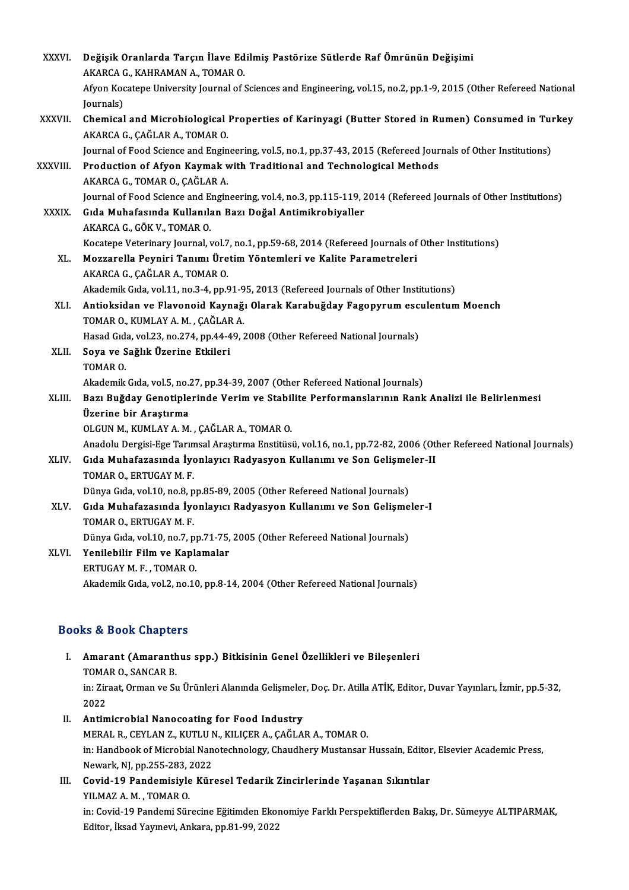| <b>XXXVI</b> | Değişik Oranlarda Tarçın İlave Edilmiş Pastörize Sütlerde Raf Ömrünün Değişimi                                                  |
|--------------|---------------------------------------------------------------------------------------------------------------------------------|
|              | AKARCA G., KAHRAMAN A., TOMAR O.                                                                                                |
|              | Afyon Kocatepe University Journal of Sciences and Engineering, vol.15, no.2, pp.1-9, 2015 (Other Refereed National<br>Journals) |
| XXXVII.      | Chemical and Microbiological Properties of Karinyagi (Butter Stored in Rumen) Consumed in Turkey                                |
|              | AKARCA G., ÇAĞLAR A., TOMAR O.                                                                                                  |
|              | Journal of Food Science and Engineering, vol.5, no.1, pp.37-43, 2015 (Refereed Journals of Other Institutions)                  |
| XXXVIII.     | Production of Afyon Kaymak with Traditional and Technological Methods                                                           |
|              | AKARCA G., TOMAR O., ÇAĞLAR A.                                                                                                  |
|              | Journal of Food Science and Engineering, vol 4, no 3, pp.115-119, 2014 (Refereed Journals of Other Institutions)                |
| <b>XXXIX</b> | Gıda Muhafasında Kullanılan Bazı Doğal Antimikrobiyaller                                                                        |
|              | AKARCA G., GÖK V., TOMAR O.                                                                                                     |
|              | Kocatepe Veterinary Journal, vol.7, no.1, pp.59-68, 2014 (Refereed Journals of Other Institutions)                              |
| XL.          | Mozzarella Peyniri Tanımı Üretim Yöntemleri ve Kalite Parametreleri                                                             |
|              | AKARCA G., ÇAĞLAR A., TOMAR O.                                                                                                  |
|              | Akademik Gıda, vol.11, no.3-4, pp.91-95, 2013 (Refereed Journals of Other Institutions)                                         |
| XLI.         | Antioksidan ve Flavonoid Kaynağı Olarak Karabuğday Fagopyrum esculentum Moench                                                  |
|              | TOMAR O., KUMLAY A. M., ÇAĞLAR A.                                                                                               |
|              | Hasad Gıda, vol.23, no.274, pp.44-49, 2008 (Other Refereed National Journals)                                                   |
| XLII.        | Soya ve Sağlık Üzerine Etkileri                                                                                                 |
|              | TOMAR O.                                                                                                                        |
|              | Akademik Gıda, vol.5, no.27, pp.34-39, 2007 (Other Refereed National Journals)                                                  |
| XLIII.       | Bazı Buğday Genotiplerinde Verim ve Stabilite Performanslarının Rank Analizi ile Belirlenmesi                                   |
|              | Üzerine bir Araştırma                                                                                                           |
|              | OLGUN M., KUMLAY A. M., ÇAĞLAR A., TOMAR O.                                                                                     |
|              | Anadolu Dergisi-Ege Tarımsal Araştırma Enstitüsü, vol.16, no.1, pp.72-82, 2006 (Other Refereed National Journals)               |
| XLIV.        | Gıda Muhafazasında İyonlayıcı Radyasyon Kullanımı ve Son Gelişmeler-II<br>TOMAR O., ERTUGAY M. F.                               |
|              | Dünya Gıda, vol.10, no.8, pp.85-89, 2005 (Other Refereed National Journals)                                                     |
| XLV.         | Gıda Muhafazasında İyonlayıcı Radyasyon Kullanımı ve Son Gelişmeler-I                                                           |
|              | TOMAR O., ERTUGAY M. F.                                                                                                         |
|              | Dünya Gıda, vol.10, no.7, pp.71-75, 2005 (Other Refereed National Journals)                                                     |
| XLVI.        | Yenilebilir Film ve Kaplamalar                                                                                                  |
|              | ERTUGAY M. F., TOMAR O.                                                                                                         |
|              | Akademik Gıda, vol.2, no.10, pp.8-14, 2004 (Other Refereed National Journals)                                                   |
|              |                                                                                                                                 |

- ooks & Book Chapters<br>I. Amarant (Amaranthus spp.) Bitkisinin Genel Özellikleri ve Bileşenleri<br>TOMAR O. SANCAR R Extra Door Shapes.<br>Amarant (Amaranth<br>TOMAR O., SANCAR B. Amarant (Amaranthus spp.) Bitkisinin Genel Özellikleri ve Bileşenleri<br>TOMAR O., SANCAR B.<br>in: Ziraat, Orman ve Su Ürünleri Alanında Gelişmeler, Doç. Dr. Atilla ATİK, Editor, Duvar Yayınları, İzmir, pp.5-32,<br>2022 TOMA<br>in: Zir<br>2022<br>Antim 2022<br>II. Antimicrobial Nanocoating for Food Industry
- MERALR.,CEYLANZ.,KUTLUN.,KILIÇERA.,ÇAĞLARA.,TOMARO. Antimicrobial Nanocoating for Food Industry<br>MERAL R., CEYLAN Z., KUTLU N., KILIÇER A., ÇAĞLAR A., TOMAR O.<br>in: Handbook of Microbial Nanotechnology, Chaudhery Mustansar Hussain, Editor, Elsevier Academic Press,<br>Navgrit, NL MERAL R., CEYLAN Z., KUTLU M<br>in: Handbook of Microbial Nan<br>Newark, NJ, pp.255-283, 2022<br>Covid 10 Bandomiaivle Kün in: Handbook of Microbial Nanotechnology, Chaudhery Mustansar Hussain, Editor<br>Newark, NJ, pp.255-283, 2022<br>III. Covid-19 Pandemisiyle Küresel Tedarik Zincirlerinde Yaşanan Sıkıntılar<br>VII.M47.A.M., TOMAR.Q
- Newark, NJ, pp.255-283, <mark>:</mark><br>Covid-19 Pandemisiyle<br>YILMAZ A. M. , TOMAR O.<br>in: Covid 10 Pandemi Sün Covid-19 Pandemisiyle Küresel Tedarik Zincirlerinde Yaşanan Sıkıntılar<br>YILMAZ A. M. , TOMAR O.<br>in: Covid-19 Pandemi Sürecine Eğitimden Ekonomiye Farklı Perspektiflerden Bakış, Dr. Sümeyye ALTIPARMAK,<br>Editer İlrad Yayınayi, YILMAZ A. M. , TOMAR O.<br>in: Covid-19 Pandemi Sürecine Eğitimden Ekoı<br>Editor, İksad Yayınevi, Ankara, pp.81-99, 2022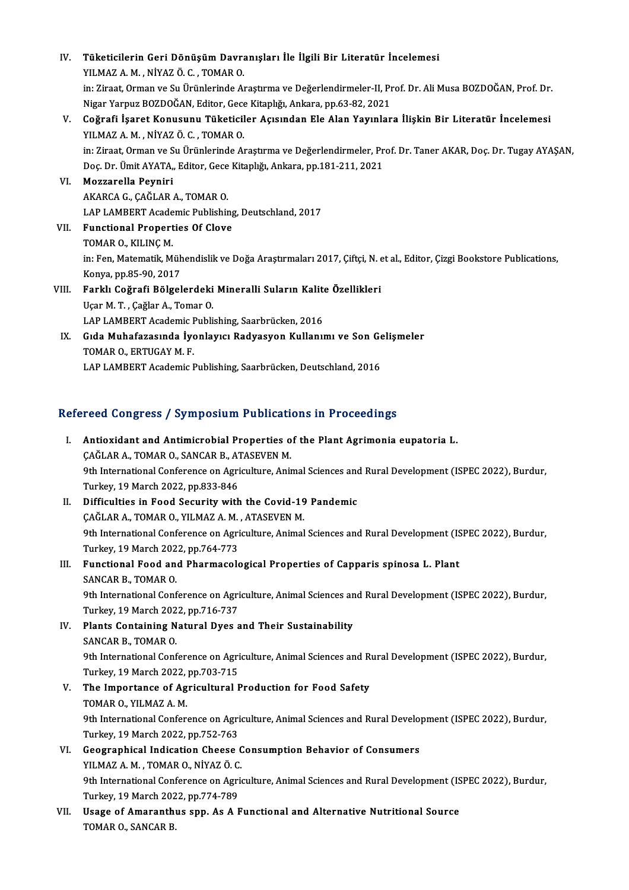IV. Tüketicilerin Geri Dönüşüm Davranışları İle İlgili Bir Literatür İncelemesi<br>YU MAZ A M NİVAZ Ö G TOMAR Q Tüketicilerin Geri Dönüşüm Davra<br>YILMAZ A.M., NİYAZ Ö.C., TOMAR O.<br>in:Ziraat Orman ve Su Ürünlerinde A. YILMAZ A. M. , NİYAZ Ö. C. , TOMAR O.<br>in: Ziraat, Orman ve Su Ürünlerinde Araştırma ve Değerlendirmeler-II, Prof. Dr. Ali Musa BOZDOĞAN, Prof. Dr. Nigar YarpuzBOZDOĞAN,Editor,GeceKitaplığı,Ankara,pp.63-82,2021 in: Ziraat, Orman ve Su Ürünlerinde Araştırma ve Değerlendirmeler-II, Prof. Dr. Ali Musa BOZDOĞAN, Prof. Dr.<br>Nigar Yarpuz BOZDOĞAN, Editor, Gece Kitaplığı, Ankara, pp.63-82, 2021<br>V. Coğrafi İşaret Konusunu Tüketiciler Açıs Nigar Yarpuz BOZDOĞAN, Editor, Gece<br>Coğrafi İşaret Konusunu Tüketicil<br>YILMAZ A. M. , NİYAZ Ö. C. , TOMAR O.<br>inı Zirast Orman ve Su Ürünlerinde Aı Coğrafi İşaret Konusunu Tüketiciler Açısından Ele Alan Yayınlara İlişkin Bir Literatür İncelemesi<br>YILMAZ A. M. , NİYAZ Ö. C. , TOMAR O.<br>in: Ziraat, Orman ve Su Ürünlerinde Araştırma ve Değerlendirmeler, Prof. Dr. Taner AKA YILMAZ A. M. , NİYAZ Ö. C. , TOMAR O.<br>in: Ziraat, Orman ve Su Ürünlerinde Araştırma ve Değerlendirmeler, Prof. Dr. Taner AKAR, Doç. Dr. Tugay AYAŞAN,<br>Doç. Dr. Ümit AYATA,, Editor, Gece Kitaplığı, Ankara, pp.181-211, 2021 VI. Mozzarella Peyniri AKARCAG.,ÇAĞLARA.,TOMARO. Mozzarella Peyniri<br>AKARCA G., ÇAĞLAR A., TOMAR O.<br>LAP LAMBERT Academic Publishing, Deutschland, 2017<br>Eungtional Properties Of Claye VII. Functional Properties Of Clove<br>TOMAR O., KILINÇ M. LAP LAMBERT Acade<br>Functional Propert<br>TOMAR O., KILINÇ M.<br>in: Eon Matematik M. Functional Properties Of Clove<br>TOMAR O., KILINÇ M.<br>in: Fen, Matematik, Mühendislik ve Doğa Araştırmaları 2017, Çiftçi, N. et al., Editor, Çizgi Bookstore Publications,<br>Kanya, pp.95,90, 2017 TOMAR O., KILINÇ M.<br>in: Fen, Matematik, Müh<br>Konya, pp.85-90, 2017<br>Forklı Coğrofi Bölgel in: Fen, Matematik, Mühendislik ve Doğa Araştırmaları 2017, Çiftçi, N. 6<br>Konya, pp.85-90, 2017<br>VIII. Farklı Coğrafi Bölgelerdeki Mineralli Suların Kalite Özellikleri<br>User M. T. Goğlar A. Temar Q Konya, pp.85-90, 2017<br>VIII. Farklı Coğrafi Bölgelerdeki Mineralli Suların Kalite Özellikleri<br>Uçar M. T. , Çağlar A., Tomar O. Farklı Coğrafi Bölgelerdeki Mineralli Suların Kalit<br>Uçar M. T. , Çağlar A., Tomar O.<br>LAP LAMBERT Academic Publishing, Saarbrücken, 2016<br>Cida Muhafarasında İvanlayısı Badyasyan Kullanı Uçar M. T. , Çağlar A., Tomar O.<br>LAP LAMBERT Academic Publishing, Saarbrücken, 2016<br>IX. Gıda Muhafazasında İyonlayıcı Radyasyon Kullanımı ve Son Gelişmeler<br>TOMAR O. ERTUCAY M. E LAP LAMBERT Academic F<br>Gıda Muhafazasında İye<br>TOMAR O., ERTUGAY M. F.<br>LAB LAMBERT Asademis L Gıda Muhafazasında İyonlayıcı Radyasyon Kullanımı ve Son Ge<br>TOMAR O., ERTUGAY M. F.<br>LAP LAMBERT Academic Publishing, Saarbrücken, Deutschland, 2016

# LAP LAMBERT Academic Publishing, Saarbrucken, Deutschland, 2016<br>Refereed Congress / Symposium Publications in Proceedings

| Refereed Congress / Symposium Publications in Proceedings |                                                                                                          |  |
|-----------------------------------------------------------|----------------------------------------------------------------------------------------------------------|--|
| L.                                                        | Antioxidant and Antimicrobial Properties of the Plant Agrimonia eupatoria L.                             |  |
|                                                           | ÇAĞLAR A., TOMAR O., SANCAR B., ATASEVEN M.                                                              |  |
|                                                           | 9th International Conference on Agriculture, Animal Sciences and Rural Development (ISPEC 2022), Burdur, |  |
|                                                           | Turkey, 19 March 2022, pp 833-846                                                                        |  |
| II.                                                       | Difficulties in Food Security with the Covid-19 Pandemic                                                 |  |
|                                                           | ÇAĞLAR A., TOMAR O., YILMAZ A. M., ATASEVEN M.                                                           |  |
|                                                           | 9th International Conference on Agriculture, Animal Sciences and Rural Development (ISPEC 2022), Burdur, |  |
|                                                           | Turkey, 19 March 2022, pp.764-773                                                                        |  |
| III.                                                      | Functional Food and Pharmacological Properties of Capparis spinosa L. Plant                              |  |
|                                                           | SANCAR B, TOMAR O                                                                                        |  |
|                                                           | 9th International Conference on Agriculture, Animal Sciences and Rural Development (ISPEC 2022), Burdur, |  |
|                                                           | Turkey, 19 March 2022, pp.716-737                                                                        |  |
| IV.                                                       | Plants Containing Natural Dyes and Their Sustainability                                                  |  |
|                                                           | <b>SANCAR B, TOMAR O</b>                                                                                 |  |
|                                                           | 9th International Conference on Agriculture, Animal Sciences and Rural Development (ISPEC 2022), Burdur, |  |
|                                                           | Turkey, 19 March 2022, pp 703-715                                                                        |  |
| V.                                                        | The Importance of Agricultural Production for Food Safety                                                |  |
|                                                           | TOMAR O, YILMAZ A M                                                                                      |  |
|                                                           | 9th International Conference on Agriculture, Animal Sciences and Rural Development (ISPEC 2022), Burdur, |  |
|                                                           | Turkey, 19 March 2022, pp.752-763                                                                        |  |
| VI.                                                       | Geographical Indication Cheese Consumption Behavior of Consumers                                         |  |
|                                                           | YILMAZ A. M., TOMAR O., NİYAZ Ö. C.                                                                      |  |
|                                                           | 9th International Conference on Agriculture, Animal Sciences and Rural Development (ISPEC 2022), Burdur, |  |
|                                                           | Turkey, 19 March 2022, pp 774-789                                                                        |  |
| VII.                                                      | Usage of Amaranthus spp. As A Functional and Alternative Nutritional Source                              |  |
|                                                           | <b>TOMADO CANCADD</b>                                                                                    |  |

TOMARO.,SANCARB.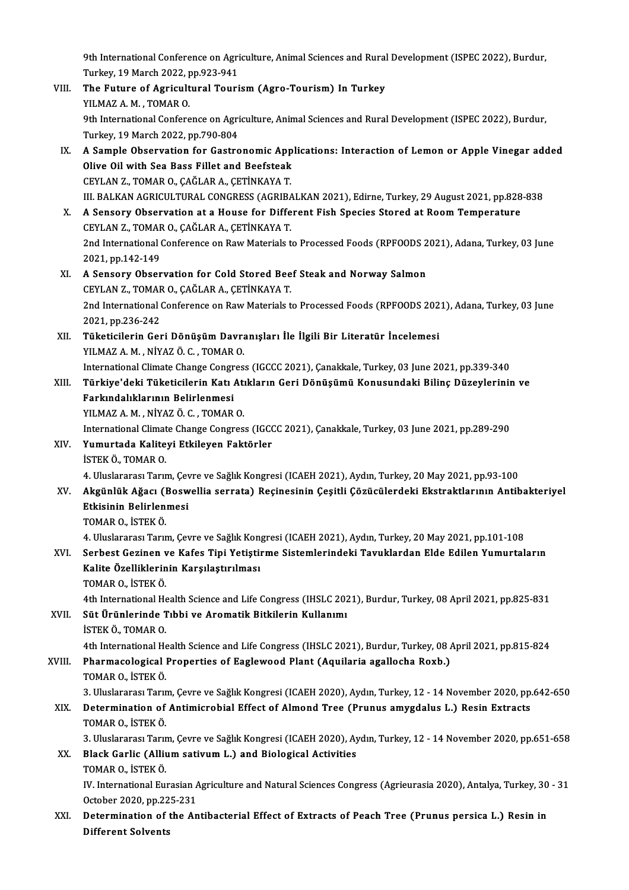9th International Conference on Agriculture, Animal Sciences and Rural Development (ISPEC 2022), Burdur,<br>Turkey, 10 Marsh 2022, np.922,941 9th International Conference on Agri<br>Turkey, 19 March 2022, pp.923-941<br>The Euture of Agricultural Touri 9th International Conference on Agriculture, Animal Sciences and Rural<br>Turkey, 19 March 2022, pp.923-941<br>VIII. The Future of Agricultural Tourism (Agro-Tourism) In Turkey<br>VII MAZA M. TOMAR O

- Turkey, 19 March 2022, pp.923-941<br>The Future of Agricultural Tourism (Agro-Tourism) In Turkey<br>YILMAZ A. M. . TOMAR O. The Future of Agricultural Tourism (Agro-Tourism) In Turkey<br>YILMAZ A. M. , TOMAR O.<br>9th International Conference on Agriculture, Animal Sciences and Rural Development (ISPEC 2022), Burdur,<br>Turkey, 19 March 2022, nn 790,904 YILMAZ A. M. , TOMAR O.<br>9th International Conference on Agri<br>Turkey, 19 March 2022, pp.790-804<br>A Sample Observation for Castro 9th International Conference on Agriculture, Animal Sciences and Rural Development (ISPEC 2022), Burdur,<br>Turkey, 19 March 2022, pp.790-804<br>IX. A Sample Observation for Gastronomic Applications: Interaction of Lemon or Appl
- Turkey, 19 March 2022, pp.790-804<br>A Sample Observation for Gastronomic App<br>Olive Oil with Sea Bass Fillet and Beefsteak<br>CEVLAN 7, TOMAR O, CAČLAR A, CETINKAVA T A Sample Observation for Gastronomic App<br>Olive Oil with Sea Bass Fillet and Beefsteak<br>CEYLAN Z., TOMAR O., ÇAĞLAR A., ÇETİNKAYA T.<br>III BALKAN ACRICULTIPAL CONCRESS (ACRIBA Olive Oil with Sea Bass Fillet and Beefsteak<br>CEYLAN Z., TOMAR O., ÇAĞLAR A., ÇETİNKAYA T.<br>III. BALKAN AGRICULTURAL CONGRESS (AGRIBALKAN 2021), Edirne, Turkey, 29 August 2021, pp.828-838
- CEYLAN Z., TOMAR O., ÇAĞLAR A., ÇETİNKAYA T.<br>III. BALKAN AGRICULTURAL CONGRESS (AGRIBALKAN 2021), Edirne, Turkey, 29 August 2021, pp.828<br>X. A Sensory Observation at a House for Different Fish Species Stored at Room Tempera III. BALKAN AGRICULTURAL CONGRESS (AGRIBA<br>A Sensory Observation at a House for Diffe<br>CEYLAN Z., TOMAR O., ÇAĞLAR A., ÇETİNKAYA T.<br>2nd International Conference on Bow Materials t A Sensory Observation at a House for Different Fish Species Stored at Room Temperature<br>CEYLAN Z., TOMAR O., ÇAĞLAR A., ÇETİNKAYA T.<br>2nd International Conference on Raw Materials to Processed Foods (RPFOODS 2021), Adana, Tu CEYLAN Z., TOMAR O., ÇAĞLAR A., ÇETİNKAYA T.<br>2nd International Conference on Raw Materials to Processed Foods (RPFOODS 2021), Adana, Turkey, 03 June<br>2021, pp.142-149 2nd International Conference on Raw Materials to Processed Foods (RPFOODS 2<br>2021, pp.142-149<br>XI. A Sensory Observation for Cold Stored Beef Steak and Norway Salmon<br>CEVLAN Z. TOMAR O. CAČLAR A. CETINKAVA T
- 2021, pp.142-149<br>A Sensory Observation for Cold Stored Bee<br>CEYLAN Z., TOMAR O., ÇAĞLAR A., ÇETİNKAYA T.<br>2nd International Conference on Bayy Materials t 2nd International Conference on Raw Materials to Processed Foods (RPFOODS 2021), Adana, Turkey, 03 June 2021, pp.236-242 CEYLAN Z., TOMAR O., ÇAĞLAR A., ÇETİNKAYA T. 2nd International Conference on Raw Materials to Processed Foods (RPFOODS 202<br>2021, pp.236-242<br>XII. Tüketicilerin Geri Dönüşüm Davranışları İle İlgili Bir Literatür İncelemesi<br>VII.MAZAM NİVAZÖ C. TOMAR O
- 2021, pp.236-242<br><mark>Tüketicilerin Geri Dönüşüm Davr</mark>a<br>YILMAZ A. M. , NİYAZ Ö. C. , TOMAR O.<br>International Climate Change Congree Tüketicilerin Geri Dönüşüm Davranışları İle İlgili Bir Literatür İncelemesi<br>YILMAZ A. M. , NİYAZ Ö. C. , TOMAR O.<br>International Climate Change Congress (IGCCC 2021), Çanakkale, Turkey, 03 June 2021, pp.339-340<br>Türkiye'deki

YILMAZ A. M. , NİYAZ Ö. C. , TOMAR O.<br>International Climate Change Congress (IGCCC 2021), Çanakkale, Turkey, 03 June 2021, pp.339-340<br>XIII. Türkiye'deki Tüketicilerin Katı Atıkların Geri Dönüşümü Konusundaki Bilinç Düz International Climate Change Congr<br>Türkiye'deki Tüketicilerin Katı<br>Farkındalıklarının Belirlenmesi<br>YU MAZ A M. NİYAZÖ C. TOMAP Türkiye'deki Tüketicilerin Katı Atı<br>Farkındalıklarının Belirlenmesi<br>YILMAZ A.M., NİYAZ Ö.C., TOMAR O.<br>International Climate Change Congres Farkındalıklarının Belirlenmesi<br>YILMAZ A. M. , NİYAZ Ö. C. , TOMAR O.<br>International Climate Change Congress (IGCCC 2021), Çanakkale, Turkey, 03 June 2021, pp.289-290<br>Yumurtada Kalitavi Etkilovan Faktörler.

- YILMAZ A. M. , NİYAZ Ö. C. , TOMAR O.<br>International Climate Change Congress (IGCO)<br>XIV. **Yumurtada Kaliteyi Etkileyen Faktörler**<br>ISTEK Ö.. TOMAR O. International Climat<br>**Yumurtada Kalite<br>İSTEK Ö., TOMAR O.**<br>4. Uluslararesi Tarır 4. Uluslararası Tarım, Çevre ve Sağlık Kongresi (ICAEH 2021), Aydın, Turkey, 20 May 2021, pp.93-100 İSTEK Ö., TOMAR O.<br>4. Uluslararası Tarım, Çevre ve Sağlık Kongresi (ICAEH 2021), Aydın, Turkey, 20 May 2021, pp.93-100<br>XV. Akgünlük Ağacı (Boswellia serrata) Reçinesinin Çeşitli Çözücülerdeki Ekstraktlarının Antibakter
- 4. Uluslararası Tarım, Çev<br>Akgünlük Ağacı (Bosw<br>Etkisinin Belirlenmesi<br>TOMAR O. İSTEK Ö Akgünlük Ağacı (I<br>Etkisinin Belirlen<br>TOMAR O., İSTEK Ö.<br>4. Illuslararası Tanır Etkisinin Belirlenmesi<br>TOMAR O., İSTEK Ö.<br>4. Uluslararası Tarım, Çevre ve Sağlık Kongresi (ICAEH 2021), Aydın, Turkey, 20 May 2021, pp.101-108<br>Sarbast Carinan ve Kafas Tini Yatistirma Sistamlarındaki Tavuklardan Elda Edila
	-

### TOMAR O., İSTEK Ö.<br>4. Uluslararası Tarım, Çevre ve Sağlık Kongresi (ICAEH 2021), Aydın, Turkey, 20 May 2021, pp.101-108<br>XVI. Serbest Gezinen ve Kafes Tipi Yetiştirme Sistemlerindeki Tavuklardan Elde Edilen Yumurtaların 4. Uluslararası Tarım, Çevre ve Sağlık Kon<br>Serbest Gezinen ve Kafes Tipi Yetiştiı<br>Kalite Özelliklerinin Karşılaştırılması<br>TOMAR O. İSTEK Ö Serbest Gezinen v<br>Kalite Özelliklerin<br>TOMAR 0., İSTEK Ö.<br>4th International He Kalite Özelliklerinin Karşılaştırılması<br>TOMAR 0., İSTEK Ö.<br>4th International Health Science and Life Congress (IHSLC 2021), Burdur, Turkey, 08 April 2021, pp.825-831<br>Süt Ününlerinde Tıbbi ve Arematik Bitkilerin Kullerum.

TOMAR O., İSTEK Ö.<br>4th International Health Science and Life Congress (IHSLC 202<br>XVII. 8üt Ürünlerinde Tıbbi ve Aromatik Bitkilerin Kullanımı<br>1975-yü analalanı Süt Ürünlerinde Tıbbi ve Aromatik Bitkilerin Kullanımı<br>İSTEK Ö., TOMAR O. Süt Ürünlerinde Tıbbi ve Aromatik Bitkilerin Kullanımı<br>İSTEK Ö., TOMAR O.<br>4th International Health Science and Life Congress (IHSLC 2021), Burdur, Turkey, 08 April 2021, pp.815-824<br>Pharmasologisal Proporties of Faglawood P

## XVIII. Pharmacological Properties of Eaglewood Plant (Aquilaria agallocha Roxb.)<br>TOMAR O., İSTEK Ö. 4th International He<br>Pharmacological<br>TOMAR O., İSTEK Ö.<br><sup>2. Hluclarorocu Toru</sub></sup>

Pharmacological Properties of Eaglewood Plant (Aquilaria agallocha Roxb.)<br>TOMAR O., İSTEK Ö.<br>3. Uluslararası Tarım, Çevre ve Sağlık Kongresi (ICAEH 2020), Aydın, Turkey, 12 - 14 November 2020, pp.642-650<br>Determination of A

## TOMAR O., İSTEK Ö.<br>3. Uluslararası Tarım, Çevre ve Sağlık Kongresi (ICAEH 2020), Aydın, Turkey, 12 - 14 November 2020, pp.<br>XIX. Determination of Antimicrobial Effect of Almond Tree (Prunus amygdalus L.) Resin Extracts<br> 3. Uluslararası Tarın<br>Determination of<br>TOMAR 0., İSTEK Ö.<br><sup>2. Hluslararası Tarın</sup> Determination of Antimicrobial Effect of Almond Tree (Prunus amygdalus L.) Resin Extracts<br>TOMAR 0., İSTEK Ö.<br>3. Uluslararası Tarım, Çevre ve Sağlık Kongresi (ICAEH 2020), Aydın, Turkey, 12 - 14 November 2020, pp.651-658<br>Pl

## TOMAR O., İSTEK Ö.<br>3. Uluslararası Tarım, Çevre ve Sağlık Kongresi (ICAEH 2020), Ay<br>XX. Black Garlic (Allium sativum L.) and Biological Activities<br>TOMAR O., İSTEK Ö. 3. Uluslararası Tarım<br><mark>Black Garlic (Alliu</mark><br>TOMAR 0., İSTEK Ö.<br>IV. International Eu

Black Garlic (Allium sativum L.) and Biological Activities<br>TOMAR 0., İSTEK Ö.<br>IV. International Eurasian Agriculture and Natural Sciences Congress (Agrieurasia 2020), Antalya, Turkey, 30 - 31<br>Ostabar 2020, pp.225, 221 TOMAR O., İSTEK Ö.<br>IV. International Eurasian A<br>October 2020, pp.225-231<br>Determination of the An IV. International Eurasian Agriculture and Natural Sciences Congress (Agrieurasia 2020), Antalya, Turkey, 30<br>October 2020, pp.225-231<br>XXI. Determination of the Antibacterial Effect of Extracts of Peach Tree (Prunus persica

October 2020, pp.22<br><mark>Determination of</mark><br>Different Solvents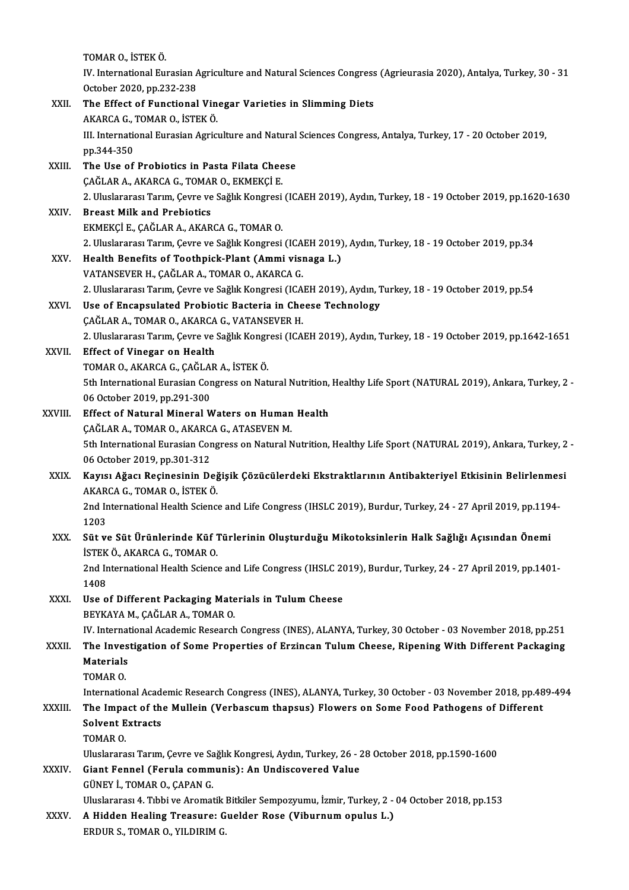|         | TOMAR O., İSTEK Ö.                                                                                                                                                |
|---------|-------------------------------------------------------------------------------------------------------------------------------------------------------------------|
|         | IV. International Eurasian Agriculture and Natural Sciences Congress (Agrieurasia 2020), Antalya, Turkey, 30 - 31                                                 |
|         | October 2020, pp.232-238                                                                                                                                          |
| XXII.   | The Effect of Functional Vinegar Varieties in Slimming Diets                                                                                                      |
|         | AKARCA G., TOMAR O., İSTEK Ö.                                                                                                                                     |
|         | III. International Eurasian Agriculture and Natural Sciences Congress, Antalya, Turkey, 17 - 20 October 2019,                                                     |
|         | pp 344-350                                                                                                                                                        |
| XXIII.  | The Use of Probiotics in Pasta Filata Cheese                                                                                                                      |
|         | ÇAĞLAR A., AKARCA G., TOMAR O., EKMEKÇİ E.                                                                                                                        |
| XXIV.   | 2. Uluslararası Tarım, Çevre ve Sağlık Kongresi (ICAEH 2019), Aydın, Turkey, 18 - 19 October 2019, pp.1620-1630<br><b>Breast Milk and Prebiotics</b>              |
|         | EKMEKÇİ E., ÇAĞLAR A., AKARCA G., TOMAR O.                                                                                                                        |
|         | 2. Uluslararası Tarım, Çevre ve Sağlık Kongresi (ICAEH 2019), Aydın, Turkey, 18 - 19 October 2019, pp.34                                                          |
| XXV     | Health Benefits of Toothpick-Plant (Ammi visnaga L.)                                                                                                              |
|         | VATANSEVER H., ÇAĞLAR A., TOMAR O., AKARCA G.                                                                                                                     |
|         | 2. Uluslararası Tarım, Çevre ve Sağlık Kongresi (ICAEH 2019), Aydın, Turkey, 18 - 19 October 2019, pp.54                                                          |
| XXVI.   | Use of Encapsulated Probiotic Bacteria in Cheese Technology                                                                                                       |
|         | ÇAĞLAR A., TOMAR O., AKARCA G., VATANSEVER H.                                                                                                                     |
|         | 2. Uluslararası Tarım, Çevre ve Sağlık Kongresi (ICAEH 2019), Aydın, Turkey, 18 - 19 October 2019, pp.1642-1651                                                   |
| XXVII.  | <b>Effect of Vinegar on Health</b>                                                                                                                                |
|         | TOMAR O., AKARCA G., ÇAĞLAR A., İSTEK Ö.                                                                                                                          |
|         | 5th International Eurasian Congress on Natural Nutrition, Healthy Life Sport (NATURAL 2019), Ankara, Turkey, 2 -                                                  |
|         | 06 October 2019, pp.291-300<br>Effect of Natural Mineral Waters on Human Health                                                                                   |
| XXVIII. | ÇAĞLAR A., TOMAR O., AKARCA G., ATASEVEN M.                                                                                                                       |
|         | 5th International Eurasian Congress on Natural Nutrition, Healthy Life Sport (NATURAL 2019), Ankara, Turkey, 2 -                                                  |
|         | 06 October 2019, pp.301-312                                                                                                                                       |
| XXIX.   | Kayısı Ağacı Reçinesinin Değişik Çözücülerdeki Ekstraktlarının Antibakteriyel Etkisinin Belirlenmesi                                                              |
|         | AKARCA G. TOMAR O. ISTEK Ö.                                                                                                                                       |
|         | 2nd International Health Science and Life Congress (IHSLC 2019), Burdur, Turkey, 24 - 27 April 2019, pp.1194-                                                     |
|         | 1203                                                                                                                                                              |
| XXX.    | Süt ve Süt Ürünlerinde Küf Türlerinin Oluşturduğu Mikotoksinlerin Halk Sağlığı Açısından Önemi                                                                    |
|         | İSTEK Ö., AKARCA G., TOMAR O.                                                                                                                                     |
|         | 2nd International Health Science and Life Congress (IHSLC 2019), Burdur, Turkey, 24 - 27 April 2019, pp.1401-                                                     |
|         | 1408                                                                                                                                                              |
| XXXI.   | Use of Different Packaging Materials in Tulum Cheese<br>BEYKAYA M., ÇAĞLAR A., TOMAR O.                                                                           |
|         | IV. International Academic Research Congress (INES), ALANYA, Turkey, 30 October - 03 November 2018, pp.251                                                        |
| XXXII.  | The Investigation of Some Properties of Erzincan Tulum Cheese, Ripening With Different Packaging                                                                  |
|         | Materials                                                                                                                                                         |
|         | TOMAR O                                                                                                                                                           |
|         | International Academic Research Congress (INES), ALANYA, Turkey, 30 October - 03 November 2018, pp.489-494                                                        |
| XXXIII. | The Impact of the Mullein (Verbascum thapsus) Flowers on Some Food Pathogens of Different                                                                         |
|         | <b>Solvent Extracts</b>                                                                                                                                           |
|         | TOMAR O.                                                                                                                                                          |
|         | Uluslararası Tarım, Çevre ve Sağlık Kongresi, Aydın, Turkey, 26 - 28 October 2018, pp.1590-1600                                                                   |
| XXXIV.  | Giant Fennel (Ferula communis): An Undiscovered Value                                                                                                             |
|         | GÜNEY İ., TOMAR O., ÇAPAN G.                                                                                                                                      |
| XXXV.   | Uluslararası 4. Tıbbi ve Aromatik Bitkiler Sempozyumu, İzmir, Turkey, 2 - 04 October 2018, pp.153<br>A Hidden Healing Treasure: Guelder Rose (Viburnum opulus L.) |
|         | ERDUR S., TOMAR O., YILDIRIM G.                                                                                                                                   |
|         |                                                                                                                                                                   |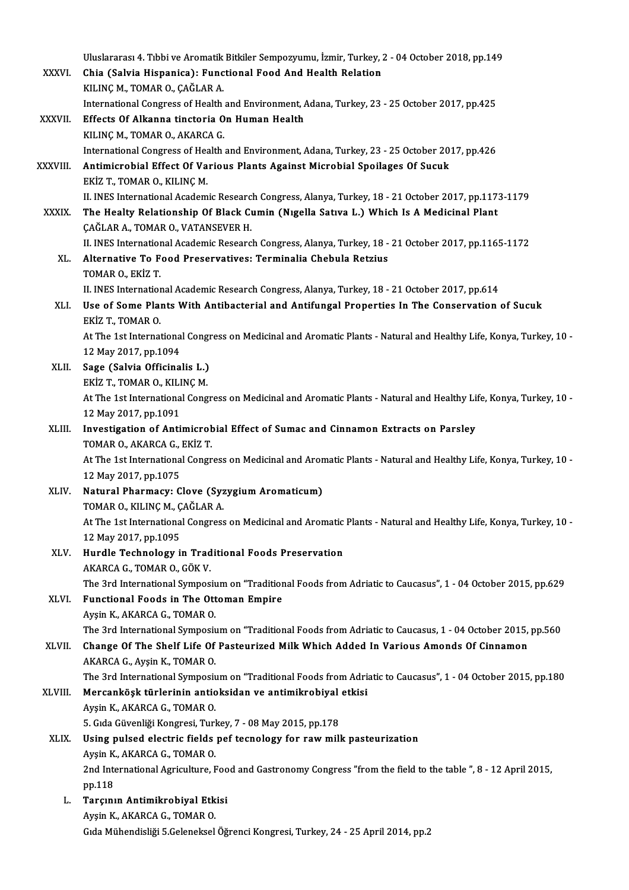|              | Uluslararası 4. Tıbbi ve Aromatik Bitkiler Sempozyumu, İzmir, Turkey, 2 - 04 October 2018, pp.149                  |
|--------------|--------------------------------------------------------------------------------------------------------------------|
| <b>XXXVI</b> | Chia (Salvia Hispanica): Functional Food And Health Relation                                                       |
|              | KILINÇ M., TOMAR O., ÇAĞLAR A.                                                                                     |
|              | International Congress of Health and Environment, Adana, Turkey, 23 - 25 October 2017, pp.425                      |
| XXXVII.      | Effects Of Alkanna tinctoria On Human Health                                                                       |
|              | KILINÇ M., TOMAR O., AKARCA G.                                                                                     |
|              | International Congress of Health and Environment, Adana, Turkey, 23 - 25 October 2017, pp.426                      |
| XXXVIII.     | Antimicrobial Effect Of Various Plants Against Microbial Spoilages Of Sucuk                                        |
|              | EKİZ T, TOMAR O, KILINÇ M.                                                                                         |
|              | II. INES International Academic Research Congress, Alanya, Turkey, 18 - 21 October 2017, pp.1173-1179              |
| <b>XXXIX</b> | The Healty Relationship Of Black Cumin (Nigella Sativa L.) Which Is A Medicinal Plant                              |
|              | ÇAĞLAR A., TOMAR O., VATANSEVER H.                                                                                 |
|              | II. INES International Academic Research Congress, Alanya, Turkey, 18 - 21 October 2017, pp.1165-1172              |
| XL.          | Alternative To Food Preservatives: Terminalia Chebula Retzius                                                      |
|              | TOMAR O, EKİZ T                                                                                                    |
|              | II. INES International Academic Research Congress, Alanya, Turkey, 18 - 21 October 2017, pp.614                    |
| XLI.         | Use of Some Plants With Antibacterial and Antifungal Properties In The Conservation of Sucuk                       |
|              | EKİZ T, TOMAR O                                                                                                    |
|              | At The 1st International Congress on Medicinal and Aromatic Plants - Natural and Healthy Life, Konya, Turkey, 10 - |
|              | 12 May 2017, pp.1094                                                                                               |
| XLII.        | Sage (Salvia Officinalis L.)                                                                                       |
|              | EKİZ T., TOMAR O., KILINÇ M.                                                                                       |
|              | At The 1st International Congress on Medicinal and Aromatic Plants - Natural and Healthy Life, Konya, Turkey, 10 - |
|              | 12 May 2017, pp 1091                                                                                               |
| XLIII.       | Investigation of Antimicrobial Effect of Sumac and Cinnamon Extracts on Parsley<br>TOMAR O, AKARCA G, EKİZ T.      |
|              | At The 1st International Congress on Medicinal and Aromatic Plants - Natural and Healthy Life, Konya, Turkey, 10 - |
|              | 12 May 2017, pp 1075                                                                                               |
| XLIV.        | Natural Pharmacy: Clove (Syzygium Aromaticum)                                                                      |
|              | TOMAR O., KILINÇ M., ÇAĞLAR A.                                                                                     |
|              | At The 1st International Congress on Medicinal and Aromatic Plants - Natural and Healthy Life, Konya, Turkey, 10 - |
|              | 12 May 2017, pp 1095                                                                                               |
| XLV.         | Hurdle Technology in Traditional Foods Preservation                                                                |
|              | AKARCA G., TOMAR O., GÖK V.                                                                                        |
|              | The 3rd International Symposium on "Traditional Foods from Adriatic to Caucasus", 1 - 04 October 2015, pp.629      |
| XLVI.        | Functional Foods in The Ottoman Empire                                                                             |
|              | Ayşin K., AKARCA G., TOMAR O.                                                                                      |
|              | The 3rd International Symposium on "Traditional Foods from Adriatic to Caucasus, 1 - 04 October 2015, pp.560       |
| XLVII.       | Change Of The Shelf Life Of Pasteurized Milk Which Added In Various Amonds Of Cinnamon                             |
|              | AKARCA G., Ayşin K., TOMAR O.                                                                                      |
|              | The 3rd International Symposium on "Traditional Foods from Adriatic to Caucasus", 1 - 04 October 2015, pp.180      |
| XLVIII.      | Mercanköşk türlerinin antioksidan ve antimikrobiyal etkisi                                                         |
|              | Ayşin K., AKARCA G., TOMAR O.                                                                                      |
|              | 5. Gida Güvenliği Kongresi, Turkey, 7 - 08 May 2015, pp 178                                                        |
| XLIX.        | Using pulsed electric fields pef tecnology for raw milk pasteurization                                             |
|              | Ayşin K., AKARCA G., TOMAR O.                                                                                      |
|              | 2nd International Agriculture, Food and Gastronomy Congress "from the field to the table ", 8 - 12 April 2015,     |
|              | pp 118                                                                                                             |
| L.           | Tarçının Antimikrobiyal Etkisi                                                                                     |
|              | Ayşin K., AKARCA G., TOMAR O.<br>Gıda Mühendisliği 5.Geleneksel Öğrenci Kongresi, Turkey, 24 - 25 April 2014, pp.2 |
|              |                                                                                                                    |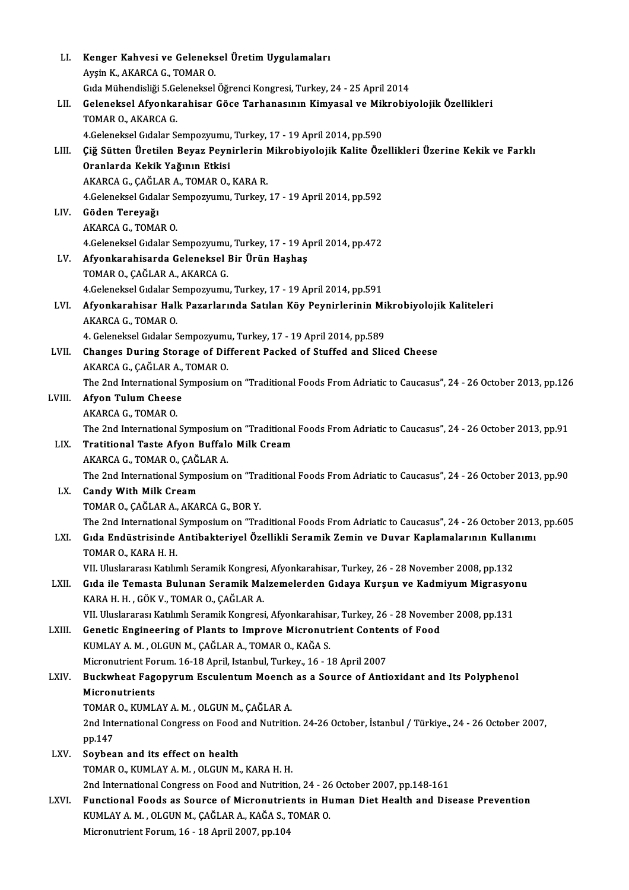| LI.    | Kenger Kahvesi ve Geleneksel Üretim Uygulamaları                                                               |
|--------|----------------------------------------------------------------------------------------------------------------|
|        | Ayşin K., AKARCA G., TOMAR O.                                                                                  |
|        | Gıda Mühendisliği 5.Geleneksel Öğrenci Kongresi, Turkey, 24 - 25 April 2014                                    |
| LII.   | Geleneksel Afyonkarahisar Göce Tarhanasının Kimyasal ve Mikrobiyolojik Özellikleri                             |
|        | TOMAR O., AKARCA G.                                                                                            |
|        | 4. Geleneksel Gıdalar Sempozyumu, Turkey, 17 - 19 April 2014, pp.590                                           |
| LIII.  | Çiğ Sütten Üretilen Beyaz Peynirlerin Mikrobiyolojik Kalite Özellikleri Üzerine Kekik ve Farklı                |
|        | Oranlarda Kekik Yağının Etkisi                                                                                 |
|        | AKARCA G., ÇAĞLAR A., TOMAR O., KARA R.                                                                        |
|        | 4 Geleneksel Gıdalar Sempozyumu, Turkey, 17 - 19 April 2014, pp.592                                            |
| LIV.   | Göden Tereyağı                                                                                                 |
|        | AKARCA G., TOMAR O.                                                                                            |
|        | 4. Geleneksel Gıdalar Sempozyumu, Turkey, 17 - 19 April 2014, pp.472                                           |
| LV.    | Afyonkarahisarda Geleneksel Bir Ürün Haşhaş                                                                    |
|        | TOMAR O., ÇAĞLAR A., AKARCA G.                                                                                 |
|        | 4. Geleneksel Gıdalar Sempozyumu, Turkey, 17 - 19 April 2014, pp.591                                           |
| LVI.   | Afyonkarahisar Halk Pazarlarında Satılan Köy Peynirlerinin Mikrobiyolojik Kaliteleri                           |
|        | AKARCA G., TOMAR O.                                                                                            |
|        | 4. Geleneksel Gıdalar Sempozyumu, Turkey, 17 - 19 April 2014, pp.589                                           |
| LVII.  | Changes During Storage of Different Packed of Stuffed and Sliced Cheese                                        |
|        | AKARCA G., ÇAĞLAR A., TOMAR O.                                                                                 |
|        | The 2nd International Symposium on "Traditional Foods From Adriatic to Caucasus", 24 - 26 October 2013, pp.126 |
| LVIII. | <b>Afyon Tulum Cheese</b>                                                                                      |
|        | AKARCA G., TOMAR O.                                                                                            |
|        | The 2nd International Symposium on "Traditional Foods From Adriatic to Caucasus", 24 - 26 October 2013, pp.91  |
| LIX.   | Tratitional Taste Afyon Buffalo Milk Cream                                                                     |
|        | AKARCA G., TOMAR O., ÇAĞLAR A.                                                                                 |
|        | The 2nd International Symposium on "Traditional Foods From Adriatic to Caucasus", 24 - 26 October 2013, pp.90  |
| LX.    | <b>Candy With Milk Cream</b>                                                                                   |
|        | TOMAR O., ÇAĞLAR A., AKARCA G., BOR Y.                                                                         |
|        | The 2nd International Symposium on "Traditional Foods From Adriatic to Caucasus", 24 - 26 October 2013, pp.605 |
| LXI.   | Gıda Endüstrisinde Antibakteriyel Özellikli Seramik Zemin ve Duvar Kaplamalarının Kullanımı                    |
|        | TOMAR O., KARA H. H.                                                                                           |
|        | VII. Uluslararası Katılımlı Seramik Kongresi, Afyonkarahisar, Turkey, 26 - 28 November 2008, pp.132            |
| LXII.  | Gida ile Temasta Bulunan Seramik Malzemelerden Gidaya Kurşun ve Kadmiyum Migrasyonu                            |
|        | KARA H. H., GÖK V., TOMAR O., ÇAĞLAR A.                                                                        |
|        | VII. Uluslararası Katılımlı Seramik Kongresi, Afyonkarahisar, Turkey, 26 - 28 November 2008, pp.131            |
| LXIII. | Genetic Engineering of Plants to Improve Micronutrient Contents of Food                                        |
|        | KUMLAY A. M., OLGUN M., ÇAĞLAR A., TOMAR O., KAĞA S.                                                           |
|        | Micronutrient Forum. 16-18 April, Istanbul, Turkey., 16 - 18 April 2007                                        |
| LXIV.  | Buckwheat Fagopyrum Esculentum Moench as a Source of Antioxidant and Its Polyphenol                            |
|        | Micronutrients                                                                                                 |
|        | TOMAR O., KUMLAY A. M., OLGUN M., CAĞLAR A.                                                                    |
|        | 2nd International Congress on Food and Nutrition. 24-26 October, İstanbul / Türkiye., 24 - 26 October 2007,    |
|        | pp 147                                                                                                         |
| LXV.   | Soybean and its effect on health                                                                               |
|        | TOMAR O., KUMLAY A. M., OLGUN M., KARA H. H.                                                                   |
|        | 2nd International Congress on Food and Nutrition, 24 - 26 October 2007, pp.148-161                             |
| LXVI.  | Functional Foods as Source of Micronutrients in Human Diet Health and Disease Prevention                       |
|        | KUMLAY A. M., OLGUN M., ÇAĞLAR A., KAĞA S., TOMAR O.                                                           |
|        | Micronutrient Forum, 16 - 18 April 2007, pp.104                                                                |